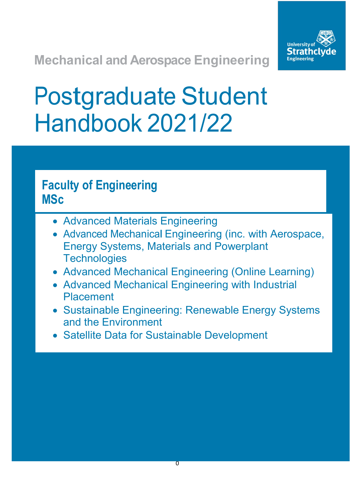

**Mechanical and Aerospace Engineering**

# Postgraduate Student Handbook 2021/22

# **Faculty of Engineering MSc**

- Advanced Materials Engineering
- Advanced Mechanical Engineering (inc. with Aerospace, Energy Systems, Materials and Powerplant **Technologies**
- Advanced Mechanical Engineering (Online Learning)
- Advanced Mechanical Engineering with Industrial Placement
- Sustainable Engineering: Renewable Energy Systems and the Environment
- Satellite Data for Sustainable Development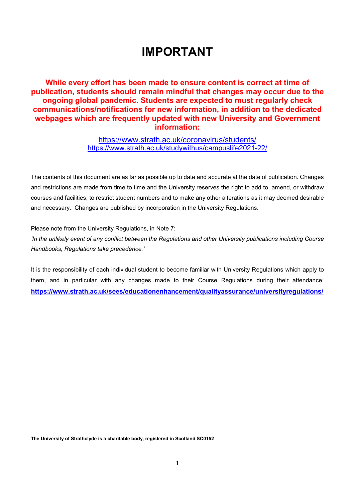# **IMPORTANT**

**While every effort has been made to ensure content is correct at time of publication, students should remain mindful that changes may occur due to the ongoing global pandemic. Students are expected to must regularly check communications/notifications for new information, in addition to the dedicated webpages which are frequently updated with new University and Government information:**

> <https://www.strath.ac.uk/coronavirus/students/> <https://www.strath.ac.uk/studywithus/campuslife2021-22/>

The contents of this document are as far as possible up to date and accurate at the date of publication. Changes and restrictions are made from time to time and the University reserves the right to add to, amend, or withdraw courses and facilities, to restrict student numbers and to make any other alterations as it may deemed desirable and necessary. Changes are published by incorporation in the University Regulations.

Please note from the University Regulations, in Note 7:

*'In the unlikely event of any conflict between the Regulations and other University publications including Course Handbooks, Regulations take precedence.'*

It is the responsibility of each individual student to become familiar with University Regulations which apply to them, and in particular with any changes made to their Course Regulations during their attendance: **<https://www.strath.ac.uk/sees/educationenhancement/qualityassurance/universityregulations/>**

**The University of Strathclyde is a charitable body, registered in Scotland SC0152**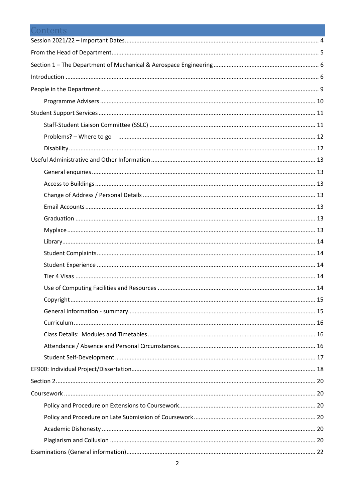| Contents                                                                           |  |
|------------------------------------------------------------------------------------|--|
|                                                                                    |  |
|                                                                                    |  |
|                                                                                    |  |
|                                                                                    |  |
|                                                                                    |  |
|                                                                                    |  |
|                                                                                    |  |
|                                                                                    |  |
| Problems? - Where to go minimum minimum minimum minimum minimum minimum minimum 12 |  |
|                                                                                    |  |
|                                                                                    |  |
|                                                                                    |  |
|                                                                                    |  |
|                                                                                    |  |
|                                                                                    |  |
|                                                                                    |  |
|                                                                                    |  |
|                                                                                    |  |
|                                                                                    |  |
|                                                                                    |  |
|                                                                                    |  |
|                                                                                    |  |
|                                                                                    |  |
|                                                                                    |  |
|                                                                                    |  |
|                                                                                    |  |
|                                                                                    |  |
|                                                                                    |  |
|                                                                                    |  |
|                                                                                    |  |
|                                                                                    |  |
|                                                                                    |  |
|                                                                                    |  |
|                                                                                    |  |
|                                                                                    |  |
|                                                                                    |  |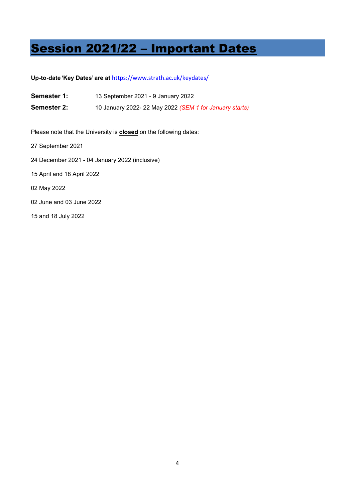# <span id="page-4-0"></span>Session 2021/22 – Important Dates

## **Up-to-date 'Key Dates' are at** <https://www.strath.ac.uk/keydates/>

- **Semester 1:** 13 September 2021 9 January 2022
- **Semester 2:** 10 January 2022- 22 May 2022 *(SEM 1 for January starts)*

Please note that the University is **closed** on the following dates:

- 27 September 2021
- 24 December 2021 04 January 2022 (inclusive)
- 15 April and 18 April 2022
- 02 May 2022
- 02 June and 03 June 2022
- 15 and 18 July 2022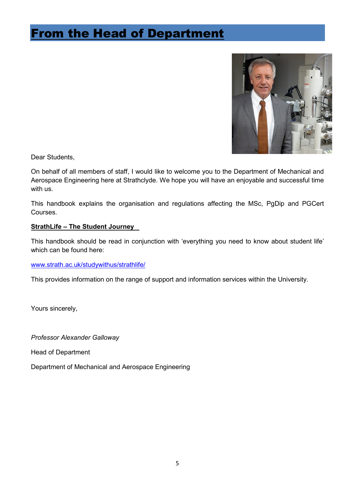# <span id="page-5-0"></span>From the Head of Department



Dear Students,

On behalf of all members of staff, I would like to welcome you to the Department of Mechanical and Aerospace Engineering here at Strathclyde. We hope you will have an enjoyable and successful time with us.

This handbook explains the organisation and regulations affecting the MSc, PgDip and PGCert Courses.

# **StrathLife – The Student Journey**

This handbook should be read in conjunction with 'everything you need to know about student life' which can be found here:

[www.strath.ac.uk/studywithus/strathlife/](http://www.strath.ac.uk/studywithus/strathlife/)

This provides information on the range of support and information services within the University.

Yours sincerely,

*Professor Alexander Galloway* 

Head of Department

Department of Mechanical and Aerospace Engineering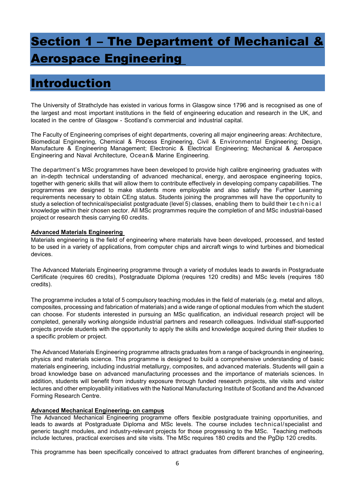# <span id="page-6-0"></span>Section 1 – The Department of Mechanical & erospace Engineering

# <span id="page-6-1"></span>Introduction

The University of Strathclyde has existed in various forms in Glasgow since 1796 and is recognised as one of the largest and most important institutions in the field of engineering education and research in the UK, and located in the centre of Glasgow - Scotland's commercial and industrial capital.

The Faculty of Engineering comprises of eight departments, covering all major engineering areas: Architecture, Biomedical Engineering, Chemical & Process Engineering, Civil & Environmental Engineering; Design, Manufacture & Engineering Management; Electronic & Electrical Engineering; Mechanical & Aerospace Engineering and Naval Architecture, Ocean& Marine Engineering.

The department's MSc programmes have been developed to provide high calibre engineering graduates with an in-depth technical understanding of advanced mechanical, energy, and aerospace engineering topics, together with generic skills that will allow them to contribute effectively in developing company capabilities. The programmes are designed to make students more employable and also satisfy the Further Learning requirements necessary to obtain CEng status. Students joining the programmes will have the opportunity to study a selection of technical/specialist postgraduate (level 5) classes, enabling them to build their technical knowledge within their chosen sector. All MSc programmes require the completion of and MSc industrial-based project or research thesis carrying 60 credits.

## **Advanced Materials Engineering**

Materials engineering is the field of engineering where materials have been developed, processed, and tested to be used in a variety of applications, from computer chips and aircraft wings to wind turbines and biomedical devices.

The Advanced Materials Engineering programme through a variety of modules leads to awards in Postgraduate Certificate (requires 60 credits), Postgraduate Diploma (requires 120 credits) and MSc levels (requires 180 credits).

The programme includes a total of 5 compulsory teaching modules in the field of materials (e.g. metal and alloys, composites, processing and fabrication of materials) and a wide range of optional modules from which the student can choose. For students interested in pursuing an MSc qualification, an individual research project will be completed, generally working alongside industrial partners and research colleagues. Individual staff-supported projects provide students with the opportunity to apply the skills and knowledge acquired during their studies to a specific problem or project.

The Advanced Materials Engineering programme attracts graduates from a range of backgrounds in engineering, physics and materials science. This programme is designed to build a comprehensive understanding of basic materials engineering, including industrial metallurgy, composites, and advanced materials. Students will gain a broad knowledge base on advanced manufacturing processes and the importance of materials sciences. In addition, students will benefit from industry exposure through funded research projects, site visits and visitor lectures and other employability initiatives with the National Manufacturing Institute of Scotland and the Advanced Forming Research Centre.

## **Advanced Mechanical Engineering- on campus**

The Advanced Mechanical Engineering programme offers flexible postgraduate training opportunities, and leads to awards at Postgraduate Diploma and MSc levels. The course includes technical/specialist and generic taught modules, and industry-relevant projects for those progressing to the MSc. Teaching methods include lectures, practical exercises and site visits. The MSc requires 180 credits and the PgDip 120 credits.

This programme has been specifically conceived to attract graduates from different branches of engineering,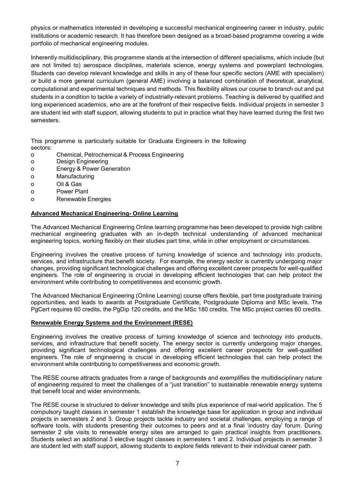physics or mathematics interested in developing a successful mechanical engineering career in industry, public institutions or academic research. It has therefore been designed as a broad-based programme covering a wide portfolio of mechanical engineering modules.

Inherently multidisciplinary, this programme stands at the intersection of different specialisms, which include (but are not limited to) aerospace disciplines, materials science, energy systems and powerplant technologies. Students can develop relevant knowledge and skills in any of these four specific sectors (AME with specialism) or build a more general curriculum (general AME) involving a balanced combination of theoretical, analytical, computational and experimental techniques and methods. This flexibility allows our course to branch out and put students in a condition to tackle a variety of industrially-relevant problems. Teaching is delivered by qualified and long experienced academics, who are at the forefront of their respective fields. Individual projects in semester 3 are student led with staff support, allowing students to put in practice what they have learned during the first two semesters.

This programme is particularly suitable for Graduate Engineers in the following sectors:

- o Chemical, Petrochemical & Process Engineering
- o Design Engineering
- o Energy & Power Generation
- o Manufacturing
- o Oil & Gas
- o Power Plant
- o Renewable Energies

### **Advanced Mechanical Engineering- Online Learning**

The Advanced Mechanical Engineering Online learning programme has been developed to provide high calibre mechanical engineering graduates with an in-depth technical understanding of advanced mechanical engineering topics, working flexibly on their studies part time, while in other employment or circumstances.

Engineering involves the creative process of turning knowledge of science and technology into products, services, and infrastructure that benefit society. For example, the energy sector is currently undergoing major changes, providing significant technological challenges and offering excellent career prospects for well-qualified engineers. The role of engineering is crucial in developing efficient technologies that can help protect the environment while contributing to competitiveness and economic growth.

The Advanced Mechanical Engineering (Online Learning) course offers flexible, part time postgraduate training opportunities, and leads to awards at Postgraduate Certificate, Postgraduate Diploma and MSc levels. The PgCert requires 60 credits, the PgDip 120 credits, and the MSc 180 credits. The MSc project carries 60 credits.

## **Renewable Energy Systems and the Environment (RESE)**

Engineering involves the creative process of turning knowledge of science and technology into products, services, and infrastructure that benefit society. The energy sector is currently undergoing major changes, providing significant technological challenges and offering excellent career prospects for well-qualified engineers. The role of engineering is crucial in developing efficient technologies that can help protect the environment while contributing to competitiveness and economic growth.

The RESE course attracts graduates from a range of backgrounds and exemplifies the multidisciplinary nature of engineering required to meet the challenges of a "just transition" to sustainable renewable energy systems that benefit local and wider environments.

The RESE course is structured to deliver knowledge and skills plus experience of real-world application. The 5 compulsory taught classes in semester 1 establish the knowledge base for application in group and individual projects in semesters 2 and 3. Group projects tackle industry and societal challenges, employing a range of software tools, with students presenting their outcomes to peers and at a final 'industry day' forum. During semester 2 site visits to renewable energy sites are arranged to gain practical insights from practitioners. Students select an additional 3 elective taught classes in semesters 1 and 2. Individual projects in semester 3 are student led with staff support, allowing students to explore fields relevant to their individual career path.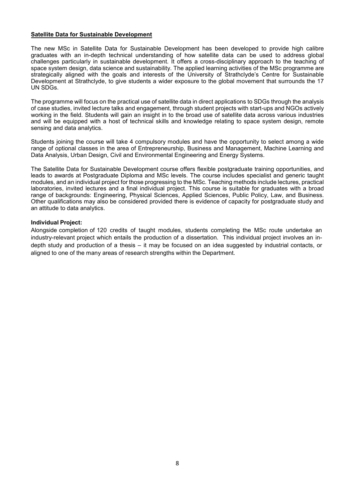### **Satellite Data for Sustainable Development**

The new MSc in Satellite Data for Sustainable Development has been developed to provide high calibre graduates with an in-depth technical understanding of how satellite data can be used to address global challenges particularly in sustainable development. It offers a cross-disciplinary approach to the teaching of space system design, data science and sustainability. The applied learning activities of the MSc programme are strategically aligned with the goals and interests of the University of Strathclyde's Centre for Sustainable Development at Strathclyde, to give students a wider exposure to the global movement that surrounds the 17 UN SDGs.

The programme will focus on the practical use of satellite data in direct applications to SDGs through the analysis of case studies, invited lecture talks and engagement, through student projects with start-ups and NGOs actively working in the field. Students will gain an insight in to the broad use of satellite data across various industries and will be equipped with a host of technical skills and knowledge relating to space system design, remote sensing and data analytics.

Students joining the course will take 4 compulsory modules and have the opportunity to select among a wide range of optional classes in the area of Entrepreneurship, Business and Management, Machine Learning and Data Analysis, Urban Design, Civil and Environmental Engineering and Energy Systems.

The Satellite Data for Sustainable Development course offers flexible postgraduate training opportunities, and leads to awards at Postgraduate Diploma and MSc levels. The course includes specialist and generic taught modules, and an individual project for those progressing to the MSc. Teaching methods include lectures, practical laboratories, invited lectures and a final individual project. This course is suitable for graduates with a broad range of backgrounds: Engineering, Physical Sciences, Applied Sciences, Public Policy, Law, and Business. Other qualifications may also be considered provided there is evidence of capacity for postgraduate study and an attitude to data analytics.

### **Individual Project:**

Alongside completion of 120 credits of taught modules, students completing the MSc route undertake an industry-relevant project which entails the production of a dissertation. This individual project involves an indepth study and production of a thesis – it may be focused on an idea suggested by industrial contacts, or aligned to one of the many areas of research strengths within the Department.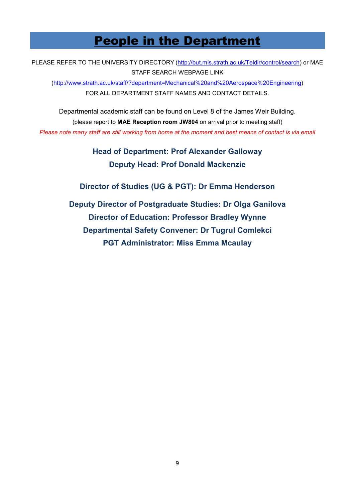# People in the Department

<span id="page-9-0"></span>PLEASE REFER TO THE UNIVERSITY DIRECTORY [\(http://but.mis.strath.ac.uk/Teldir/control/search\)](http://but.mis.strath.ac.uk/Teldir/control/search) or MAE STAFF SEARCH WEBPAGE LINK [\(http://www.strath.ac.uk/staff/?department=Mechanical%20and%20Aerospace%20Engineering\)](http://www.strath.ac.uk/staff/?department=Mechanical%20and%20Aerospace%20Engineering) FOR ALL DEPARTMENT STAFF NAMES AND CONTACT DETAILS.

Departmental academic staff can be found on Level 8 of the James Weir Building. (please report to **MAE Reception room JW804** on arrival prior to meeting staff) *Please note many staff are still working from home at the moment and best means of contact is via email*

> **Head of Department: Prof Alexander Galloway Deputy Head: Prof Donald Mackenzie**

**Director of Studies (UG & PGT): Dr Emma Henderson**

**Deputy Director of Postgraduate Studies: Dr Olga Ganilova Director of Education: Professor Bradley Wynne Departmental Safety Convener: Dr Tugrul Comlekci PGT Administrator: Miss Emma Mcaulay**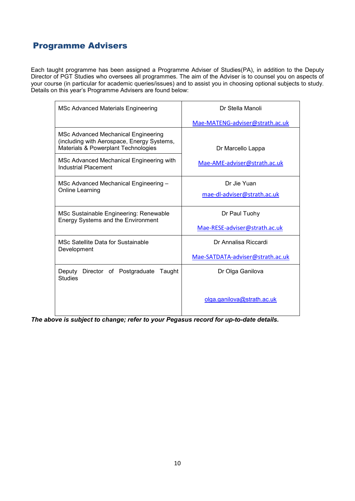# <span id="page-10-0"></span>Programme Advisers

Each taught programme has been assigned a Programme Adviser of Studies(PA), in addition to the Deputy Director of PGT Studies who oversees all programmes. The aim of the Adviser is to counsel you on aspects of your course (in particular for academic queries/issues) and to assist you in choosing optional subjects to study. Details on this year's Programme Advisers are found below:

| MSc Advanced Materials Engineering                                                                                       | Dr Stella Manoli                 |
|--------------------------------------------------------------------------------------------------------------------------|----------------------------------|
|                                                                                                                          | Mae-MATENG-adviser@strath.ac.uk  |
| MSc Advanced Mechanical Engineering<br>(including with Aerospace, Energy Systems,<br>Materials & Powerplant Technologies | Dr Marcello Lappa                |
| MSc Advanced Mechanical Engineering with<br>Industrial Placement                                                         | Mae-AME-adviser@strath.ac.uk     |
| MSc Advanced Mechanical Engineering -                                                                                    | Dr Jie Yuan                      |
| Online Learning                                                                                                          | mae-dl-adviser@strath.ac.uk      |
| MSc Sustainable Engineering: Renewable<br><b>Energy Systems and the Environment</b>                                      | Dr Paul Tuohy                    |
|                                                                                                                          | Mae-RESE-adviser@strath.ac.uk    |
| MSc Satellite Data for Sustainable<br>Development                                                                        | Dr Annalisa Riccardi             |
|                                                                                                                          | Mae-SATDATA-adviser@strath.ac.uk |
| Deputy<br>Director of Postgraduate<br>Taught<br><b>Studies</b>                                                           | Dr Olga Ganilova                 |
|                                                                                                                          | olga.ganilova@strath.ac.uk       |

*The above is subject to change; refer to your Pegasus record for up-to-date details.*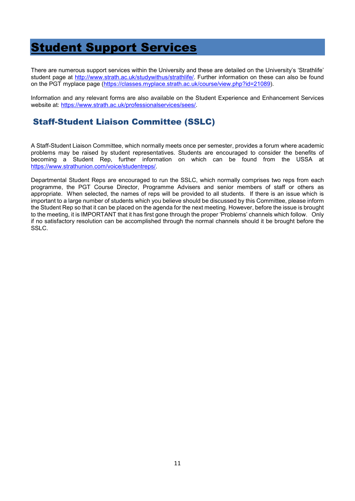# <span id="page-11-0"></span>Student Support Services

There are numerous support services within the University and these are detailed on the University's 'Strathlife' student page at [http://www.strath.ac.uk/studywithus/strathlife/.](http://www.strath.ac.uk/studywithus/strathlife/) Further information on these can also be found on the PGT myplace page [\(https://classes.myplace.strath.ac.uk/course/view.php?id=21089\)](https://classes.myplace.strath.ac.uk/course/view.php?id=21089).

Information and any relevant forms are also available on the Student Experience and Enhancement Services website at: [https://www.strath.ac.uk/professionalservices/sees/.](https://www.strath.ac.uk/professionalservices/sees/)

# <span id="page-11-1"></span>Staff-Student Liaison Committee (SSLC)

A Staff-Student Liaison Committee, which normally meets once per semester, provides a forum where academic problems may be raised by student representatives. Students are encouraged to consider the benefits of becoming a Student Rep, further information on which can be found from the USSA at [https://www.strathunion.com/voice/studentreps/.](https://www.strathunion.com/voice/studentreps/)

Departmental Student Reps are encouraged to run the SSLC, which normally comprises two reps from each programme, the PGT Course Director, Programme Advisers and senior members of staff or others as appropriate. When selected, the names of reps will be provided to all students. If there is an issue which is important to a large number of students which you believe should be discussed by this Committee, please inform the Student Rep so that it can be placed on the agenda for the next meeting. However, before the issue is brought to the meeting, it is IMPORTANT that it has first gone through the proper 'Problems' channels which follow. Only if no satisfactory resolution can be accomplished through the normal channels should it be brought before the SSLC.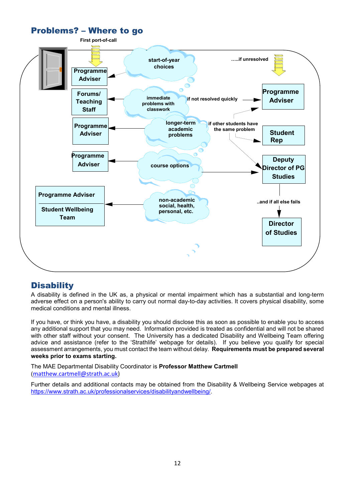<span id="page-12-0"></span>

# <span id="page-12-1"></span>**Disability**

A disability is defined in the UK as, a physical or mental impairment which has a substantial and long-term adverse effect on a person's ability to carry out normal day-to-day activities. It covers physical disability, some medical conditions and mental illness.

If you have, or think you have, a disability you should disclose this as soon as possible to enable you to access any additional support that you may need. Information provided is treated as confidential and will not be shared with other staff without your consent. The University has a dedicated Disability and Wellbeing Team offering advice and assistance (refer to the 'Strathlife' webpage for details). If you believe you qualify for special assessment arrangements, you must contact the team without delay. **Requirements must be prepared several weeks prior to exams starting.**

The MAE Departmental Disability Coordinator is **Professor Matthew Cartmell** ([matthew.cartmell@strath.ac.uk\)](mailto:matthew.cartmell@strath.ac.uk)

Further details and additional contacts may be obtained from the Disability & Wellbeing Service webpages at [https://www.strath.ac.uk/professionalservices/disabilityandwellbeing/.](https://www.strath.ac.uk/professionalservices/disabilityandwellbeing/)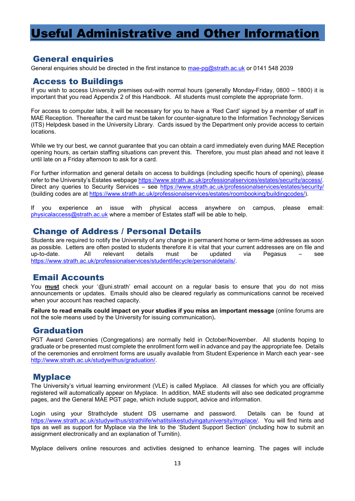# <span id="page-13-0"></span>Useful Administrative and Other Information

# <span id="page-13-1"></span>General enquiries

General enquiries should be directed in the first instance to [mae-pg@strath.ac.uk](mailto:mae-pg@strath.ac.uk) or 0141 548 2039

# <span id="page-13-2"></span>Access to Buildings

If you wish to access University premises out-with normal hours (generally Monday-Friday, 0800 – 1800) it is important that you read Appendix 2 of this Handbook. All students must complete the appropriate form.

For access to computer labs, it will be necessary for you to have a 'Red Card' signed by a member of staff in MAE Reception. Thereafter the card must be taken for counter-signature to the Information Technology Services (ITS) Helpdesk based in the University Library. Cards issued by the Department only provide access to certain locations.

While we try our best, we cannot guarantee that you can obtain a card immediately even during MAE Reception opening hours, as certain staffing situations can prevent this. Therefore, you must plan ahead and not leave it until late on a Friday afternoon to ask for a card.

For further information and general details on access to buildings (including specific hours of opening), please refer to the University's Estates webpage [https://www.strath.ac.uk/professionalservices/estates/security/access/.](https://www.strath.ac.uk/professionalservices/estates/security/access/) Direct any queries to Security Services - see<https://www.strath.ac.uk/professionalservices/estates/security/> (building codes are at [https://www.strath.ac.uk/professionalservices/estates/roombooking/buildingcodes/\)](https://www.strath.ac.uk/professionalservices/estates/roombooking/buildingcodes/).

If you experience an issue with physical access anywhere on campus, please email: [physicalaccess@strath.ac.uk](mailto:physicalaccess@strath.ac.uk) where a member of Estates staff will be able to help.

# <span id="page-13-3"></span>Change of Address / Personal Details

Students are required to notify the University of any change in permanent home or term-time addresses as soon as possible. Letters are often posted to students therefore it is vital that your current addresses are on file and<br>up-to-date. All relevant details must be updated via up-to-date. All relevant details must be updated via Pegasus – see [https://www.strath.ac.uk/professionalservices/studentlifecycle/personaldetails/.](https://www.strath.ac.uk/professionalservices/studentlifecycle/personaldetails/)

# <span id="page-13-4"></span>Email Accounts

You **must** check your '@uni.strath' email account on a regular basis to ensure that you do not miss announcements or updates. Emails should also be cleared regularly as communications cannot be received when your account has reached capacity.

**Failure to read emails could impact on your studies if you miss an important message** (online forums are not the sole means used by the University for issuing communication)**.**

# <span id="page-13-5"></span>Graduation

PGT Award Ceremonies (Congregations) are normally held in October/November. All students hoping to graduate or be presented must complete the enrollment form well in advance and pay the appropriate fee. Details of the ceremonies and enrolment forms are usually available from Student Experience in March each year- see [http://www.strath.ac.uk/studywithus/graduation/.](http://www.strath.ac.uk/studywithus/graduation/)

# <span id="page-13-6"></span>**Myplace**

The University's virtual learning environment (VLE) is called Myplace. All classes for which you are officially registered will automatically appear on Myplace. In addition, MAE students will also see dedicated programme pages, and the General MAE PGT page, which include support, advice and information.

Login using your Strathclyde student DS username and password. Details can be found at [https://www.strath.ac.uk/studywithus/strathlife/whatitslikestudyingatuniversity/myplace/.](https://www.strath.ac.uk/studywithus/strathlife/whatitslikestudyingatuniversity/myplace/) You will find hints and tips as well as support for Myplace via the link to the 'Student Support Section' (including how to submit an assignment electronically and an explanation of Turnitin).

Myplace delivers online resources and activities designed to enhance learning. The pages will include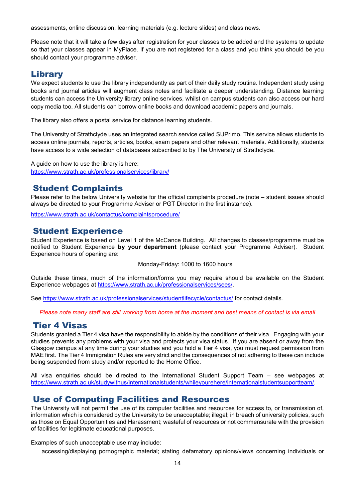assessments, online discussion, learning materials (e.g. lecture slides) and class news.

Please note that it will take a few days after registration for your classes to be added and the systems to update so that your classes appear in MyPlace. If you are not registered for a class and you think you should be you should contact your programme adviser.

# <span id="page-14-0"></span>Library

We expect students to use the library independently as part of their daily study routine. Independent study using books and journal articles will augment class notes and facilitate a deeper understanding. Distance learning students can access the University library online services, whilst on campus students can also access our hard copy media too. All students can borrow online books and download academic papers and journals.

The library also offers a postal service for distance learning students.

The University of Strathclyde uses an integrated search service called SUPrimo. This service allows students to access online journals, reports, articles, books, exam papers and other relevant materials. Additionally, students have access to a wide selection of databases subscribed to by The University of Strathclyde.

A guide on how to use the library is here: <https://www.strath.ac.uk/professionalservices/library/>

# <span id="page-14-1"></span>Student Complaints

Please refer to the below University website for the official complaints procedure (note – student issues should always be directed to your Programme Adviser or PGT Director in the first instance).

<https://www.strath.ac.uk/contactus/complaintsprocedure/>

# <span id="page-14-2"></span>Student Experience

Student Experience is based on Level 1 of the McCance Building. All changes to classes/programme must be notified to Student Experience **by your department** (please contact your Programme Adviser). Student Experience hours of opening are:

Monday-Friday: 1000 to 1600 hours

Outside these times, much of the information/forms you may require should be available on the Student Experience webpages at [https://www.strath.ac.uk/professionalservices/sees/.](https://www.strath.ac.uk/professionalservices/sees/)

See<https://www.strath.ac.uk/professionalservices/studentlifecycle/contactus/> for contact details.

*Please note many staff are still working from home at the moment and best means of contact is via email*

# <span id="page-14-3"></span>Tier 4 Visas

Students granted a Tier 4 visa have the responsibility to abide by the conditions of their visa. Engaging with your studies prevents any problems with your visa and protects your visa status. If you are absent or away from the Glasgow campus at any time during your studies and you hold a Tier 4 visa, you must request permission from MAE first. The Tier 4 Immigration Rules are very strict and the consequences of not adhering to these can include being suspended from study and/or reported to the Home Office.

All visa enquiries should be directed to the International Student Support Team – see webpages at [https://www.strath.ac.uk/studywithus/internationalstudents/whileyourehere/internationalstudentsupportteam/.](https://www.strath.ac.uk/studywithus/internationalstudents/whileyourehere/internationalstudentsupportteam/)

# <span id="page-14-4"></span>Use of Computing Facilities and Resources

The University will not permit the use of its computer facilities and resources for access to, or transmission of, information which is considered by the University to be unacceptable; illegal; in breach of university policies, such as those on Equal Opportunities and Harassment; wasteful of resources or not commensurate with the provision of facilities for legitimate educational purposes.

Examples of such unacceptable use may include:

accessing/displaying pornographic material; stating defamatory opinions/views concerning individuals or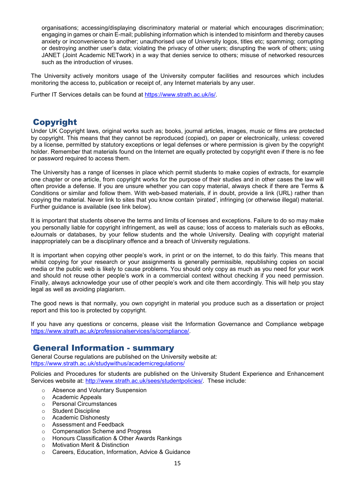organisations; accessing/displaying discriminatory material or material which encourages discrimination; engaging in games or chain E-mail; publishing information which is intended to misinform and thereby causes anxiety or inconvenience to another; unauthorised use of University logos, titles etc; spamming; corrupting or destroying another user's data; violating the privacy of other users; disrupting the work of others; using JANET (Joint Academic NETwork) in a way that denies service to others; misuse of networked resources such as the introduction of viruses.

The University actively monitors usage of the University computer facilities and resources which includes monitoring the access to, publication or receipt of, any Internet materials by any user.

Further IT Services details can be found at [https://www.strath.ac.uk/is/.](https://www.strath.ac.uk/is/)

# <span id="page-15-0"></span>Copyright

Under UK Copyright laws, original works such as; books, journal articles, images, music or films are protected by copyright. This means that they cannot be reproduced (copied), on paper or electronically, unless: covered by a license, permitted by statutory exceptions or legal defenses or where permission is given by the copyright holder. Remember that materials found on the Internet are equally protected by copyright even if there is no fee or password required to access them.

The University has a range of licenses in place which permit students to make copies of extracts, for example one chapter or one article, from copyright works for the purpose of their studies and in other cases the law will often provide a defense. If you are unsure whether you can copy material, always check if there are Terms & Conditions or similar and follow them. With web-based materials, if in doubt, provide a link (URL) rather than copying the material. Never link to sites that you know contain 'pirated', infringing (or otherwise illegal) material. Further guidance is available (see link below).

It is important that students observe the terms and limits of licenses and exceptions. Failure to do so may make you personally liable for copyright infringement, as well as cause; loss of access to materials such as eBooks, eJournals or databases, by your fellow students and the whole University. Dealing with copyright material inappropriately can be a disciplinary offence and a breach of University regulations.

It is important when copying other people's work, in print or on the internet, to do this fairly. This means that whilst copying for your research or your assignments is generally permissible, republishing copies on social media or the public web is likely to cause problems. You should only copy as much as you need for your work and should not reuse other people's work in a commercial context without checking if you need permission. Finally, always acknowledge your use of other people's work and cite them accordingly. This will help you stay legal as well as avoiding plagiarism.

The good news is that normally, you own copyright in material you produce such as a dissertation or project report and this too is protected by copyright.

If you have any questions or concerns, please visit the Information Governance and Compliance webpage [https://www.strath.ac.uk/professionalservices/is/compliance/.](https://www.strath.ac.uk/professionalservices/is/compliance/)

# <span id="page-15-1"></span>General Information - summary

General Course regulations are published on the University website at: <https://www.strath.ac.uk/studywithus/academicregulations/>

Policies and Procedures for students are published on the University Student Experience and Enhancement Services website at: [http://www.strath.ac.uk/sees/studentpolicies/.](http://www.strath.ac.uk/sees/studentpolicies/) These include:

- Absence and Voluntary Suspension<br>○ Academic Appeals
- ⊙ Academic Appeals<br>⊙ Personal Circumsta
- **Personal Circumstances**
- o Student Discipline
- o Academic Dishonesty
- o Assessment and Feedback
- Compensation Scheme and Progress<br>○ Honours Classification & Other Award
- Honours Classification & Other Awards Rankings<br>○ Motivation Merit & Distinction
- **Motivation Merit & Distinction**
- o Careers, Education, Information, Advice & Guidance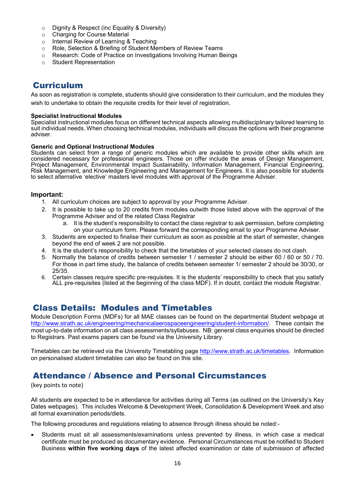- $\circ$  Dignity & Respect (inc Equality & Diversity)<br> $\circ$  Charging for Course Material
- Charging for Course Material<br>○ Internal Review of Learning &
- o Internal Review of Learning & Teaching<br>○ Role. Selection & Briefing of Student Me
- o Role, Selection & Briefing of Student Members of Review Teams<br>○ Research: Code of Practice on Investigations Involving Human B
- $\circ$  Research: Code of Practice on Investigations Involving Human Beings<br>
o Student Representation
- **Student Representation**

# <span id="page-16-0"></span>Curriculum

As soon as registration is complete, students should give consideration to their curriculum, and the modules they wish to undertake to obtain the requisite credits for their level of registration.

### **Specialist Instructional Modules**

Specialist instructional modules focus on different technical aspects allowing multidisciplinary tailored learning to suit individual needs. When choosing technical modules, individuals will discuss the options with their programme adviser.

### **Generic and Optional Instructional Modules**

Students can select from a range of generic modules which are available to provide other skills which are considered necessary for professional engineers. Those on offer include the areas of Design Management, Project Management, Environmental Impact Sustainability, Information Management, Financial Engineering, Risk Management, and Knowledge Engineering and Management for Engineers. It is also possible for students to select alternative 'elective' masters level modules with approval of the Programme Adviser.

## **Important:**

- 1. All curriculum choices are subject to approval by your Programme Adviser.
- 2. It is possible to take up to 20 credits from modules outwith those listed above with the approval of the Programme Adviser and of the related Class Registrar
	- a. It is the student's responsibility to contact the class registrar to ask permission, before completing on your curriculum form. Please forward the corresponding email to your Programme Adviser.
- 3. Students are expected to finalise their curriculum as soon as possible at the start of semester, changes beyond the end of week 2 are not possible.
- 4. It is the student's responsibility to check that the timetables of your selected classes do not clash.
- 5. Normally the balance of credits between semester 1 / semester 2 should be either 60 / 60 or 50 / 70. For those in part time study, the balance of credits between semester 1/ semester 2 should be 30/30, or 25/35.
- 6. Certain classes require specific pre-requisites. It is the students' responsibility to check that you satisfy ALL pre-requisites (listed at the beginning of the class MDF). If in doubt, contact the module Registrar.

# <span id="page-16-1"></span>Class Details: Modules and Timetables

Module Description Forms (MDFs) for all MAE classes can be found on the departmental Student webpage at [http://www.strath.ac.uk/engineering/mechanicalaerospaceengineering/student-information/.](http://www.strath.ac.uk/engineering/mechanicalaerospaceengineering/student-information/) These contain the most up-to-date information on all class assessments/syllabuses. NB: general class enquiries should be directed to Registrars. Past exams papers can be found via the University Library.

Timetables can be retrieved via the University Timetabling page [http://www.strath.ac.uk/timetables.](http://www.strath.ac.uk/timetables) Information on personalised student timetables can also be found on this site.

# <span id="page-16-2"></span>Attendance / Absence and Personal Circumstances

## (key points to note)

All students are expected to be in attendance for activities during all Terms (as outlined on the University's Key Dates webpages). This includes Welcome & Development Week, Consolidation & Development Week and also all formal examination periods/diets.

The following procedures and regulations relating to absence through illness should be noted:-

• Students must sit all assessments/examinations unless prevented by illness, in which case a medical certificate must be produced as documentary evidence. Personal Circumstances must be notified to Student Business **within five working days** of the latest affected examination or date of submission of affected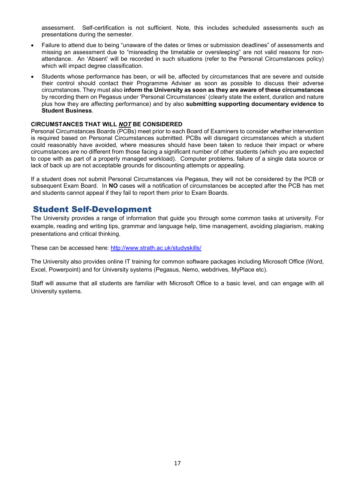assessment. Self-certification is not sufficient. Note, this includes scheduled assessments such as presentations during the semester.

- Failure to attend due to being "unaware of the dates or times or submission deadlines" of assessments and missing an assessment due to "misreading the timetable or oversleeping" are not valid reasons for nonattendance. An 'Absent' will be recorded in such situations (refer to the Personal Circumstances policy) which will impact degree classification.
- Students whose performance has been, or will be, affected by circumstances that are severe and outside their control should contact their Programme Adviser as soon as possible to discuss their adverse circumstances. They must also **inform the University as soon as they are aware of these circumstances** by recording them on Pegasus under 'Personal Circumstances' (clearly state the extent, duration and nature plus how they are affecting performance) and by also **submitting supporting documentary evidence to Student Business**.

### **CIRCUMSTANCES THAT WILL** *NOT* **BE CONSIDERED**

Personal Circumstances Boards (PCBs) meet prior to each Board of Examiners to consider whether intervention is required based on Personal Circumstances submitted. PCBs will disregard circumstances which a student could reasonably have avoided, where measures should have been taken to reduce their impact or where circumstances are no different from those facing a significant number of other students (which you are expected to cope with as part of a properly managed workload). Computer problems, failure of a single data source or lack of back up are not acceptable grounds for discounting attempts or appealing.

If a student does not submit Personal Circumstances via Pegasus, they will not be considered by the PCB or subsequent Exam Board. In **NO** cases will a notification of circumstances be accepted after the PCB has met and students cannot appeal if they fail to report them prior to Exam Boards.

# <span id="page-17-0"></span>Student Self-Development

The University provides a range of information that guide you through some common tasks at university. For example, reading and writing tips, grammar and language help, time management, avoiding plagiarism, making presentations and critical thinking.

These can be accessed here:<http://www.strath.ac.uk/studyskills/>

The University also provides online IT training for common software packages including Microsoft Office (Word, Excel, Powerpoint) and for University systems (Pegasus, Nemo, webdrives, MyPlace etc).

Staff will assume that all students are familiar with Microsoft Office to a basic level, and can engage with all University systems.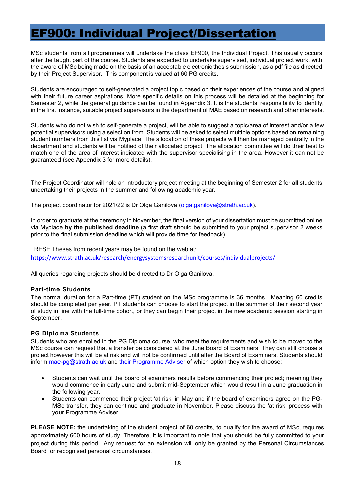# <span id="page-18-0"></span>EF900: Individual Project/Dissertation

MSc students from all programmes will undertake the class EF900, the Individual Project. This usually occurs after the taught part of the course. Students are expected to undertake supervised, individual project work, with the award of MSc being made on the basis of an acceptable electronic thesis submission, as a pdf file as directed by their Project Supervisor. This component is valued at 60 PG credits.

Students are encouraged to self-generated a project topic based on their experiences of the course and aligned with their future career aspirations. More specific details on this process will be detailed at the beginning for Semester 2, while the general guidance can be found in Appendix 3. It is the students' responsibility to identify, in the first instance, suitable project supervisors in the department of MAE based on research and other interests.

Students who do not wish to self-generate a project, will be able to suggest a topic/area of interest and/or a few potential supervisors using a selection from. Students will be asked to select multiple options based on remaining student numbers from this list via Myplace. The allocation of these projects will then be managed centrally in the department and students will be notified of their allocated project. The allocation committee will do their best to match one of the area of interest indicated with the supervisor specialising in the area. However it can not be guaranteed (see Appendix 3 for more details).

The Project Coordinator will hold an introductory project meeting at the beginning of Semester 2 for all students undertaking their projects in the summer and following academic year.

The project coordinator for 2021/22 is Dr Olga Ganilova [\(olga.ganilova@strath.ac.uk\)](mailto:olga.ganilova@strath.ac.uk).

In order to graduate at the ceremony in November, the final version of your dissertation must be submitted online via Myplace **by the published deadline** (a first draft should be submitted to your project supervisor 2 weeks prior to the final submission deadline which will provide time for feedback).

RESE Theses from recent years may be found on the web at: <https://www.strath.ac.uk/research/energysystemsresearchunit/courses/individualprojects/>

All queries regarding projects should be directed to Dr Olga Ganilova.

## **Part-time Students**

The normal duration for a Part-time (PT) student on the MSc programme is 36 months. Meaning 60 credits should be completed per year. PT students can choose to start the project in the summer of their second year of study in line with the full-time cohort, or they can begin their project in the new academic session starting in September.

## **PG Diploma Students**

Students who are enrolled in the PG Diploma course, who meet the requirements and wish to be moved to the MSc course can request that a transfer be considered at the June Board of Examiners. They can still choose a project however this will be at risk and will not be confirmed until after the Board of Examiners. Students should inform [mae-pg@strath.ac.uk](mailto:mae-pg@strath.ac.uk) and [their](mailto:Marcello.lappa@strath.ac.uk) Programme Adviser of which option they wish to choose:

- Students can wait until the board of examiners results before commencing their project; meaning they would commence in early June and submit mid-September which would result in a June graduation in the following year.
- Students can commence their project 'at risk' in May and if the board of examiners agree on the PG-MSc transfer, they can continue and graduate in November. Please discuss the 'at risk' process with your Programme Adviser.

**PLEASE NOTE:** the undertaking of the student project of 60 credits, to qualify for the award of MSc, requires approximately 600 hours of study. Therefore, it is important to note that you should be fully committed to your project during this period. Any request for an extension will only be granted by the Personal Circumstances Board for recognised personal circumstances.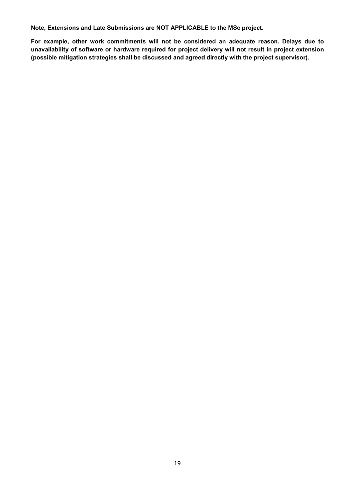**Note, Extensions and Late Submissions are NOT APPLICABLE to the MSc project.**

**For example, other work commitments will not be considered an adequate reason. Delays due to unavailability of software or hardware required for project delivery will not result in project extension (possible mitigation strategies shall be discussed and agreed directly with the project supervisor).**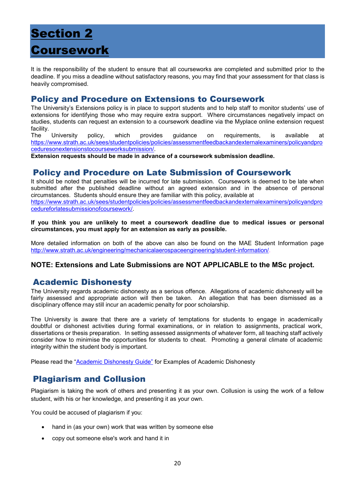# <span id="page-20-1"></span><span id="page-20-0"></span>Section 2 Coursework

It is the responsibility of the student to ensure that all courseworks are completed and submitted prior to the deadline. If you miss a deadline without satisfactory reasons, you may find that your assessment for that class is heavily compromised.

# <span id="page-20-2"></span>Policy and Procedure on Extensions to Coursework

The University's Extensions policy is in place to support students and to help staff to monitor students' use of extensions for identifying those who may require extra support. Where circumstances negatively impact on studies, students can request an extension to a coursework deadline via the Myplace online extension request

facility.<br>The University The University policy, which provides guidance on requirements, is available at [https://www.strath.ac.uk/sees/studentpolicies/policies/assessmentfeedbackandexternalexaminers/policyandpro](https://www.strath.ac.uk/sees/studentpolicies/policies/assessmentfeedbackandexternalexaminers/policyandproceduresonextensionstocourseworksubmission/) [ceduresonextensionstocourseworksubmission/.](https://www.strath.ac.uk/sees/studentpolicies/policies/assessmentfeedbackandexternalexaminers/policyandproceduresonextensionstocourseworksubmission/)

**Extension requests should be made in advance of a coursework submission deadline.** 

# <span id="page-20-3"></span>Policy and Procedure on Late Submission of Coursework

It should be noted that penalties will be incurred for late submission. Coursework is deemed to be late when submitted after the published deadline without an agreed extension and in the absence of personal circumstances. Students should ensure they are familiar with this policy, available at [https://www.strath.ac.uk/sees/studentpolicies/policies/assessmentfeedbackandexternalexaminers/policyandpro](https://www.strath.ac.uk/sees/studentpolicies/policies/assessmentfeedbackandexternalexaminers/policyandprocedureforlatesubmissionofcoursework/) [cedureforlatesubmissionofcoursework/.](https://www.strath.ac.uk/sees/studentpolicies/policies/assessmentfeedbackandexternalexaminers/policyandprocedureforlatesubmissionofcoursework/)

**If you think you are unlikely to meet a coursework deadline due to medical issues or personal circumstances, you must apply for an extension as early as possible.**

More detailed information on both of the above can also be found on the MAE Student Information page [http://www.strath.ac.uk/engineering/mechanicalaerospaceengineering/student-information/.](http://www.strath.ac.uk/engineering/mechanicalaerospaceengineering/student-information/)

# **NOTE: Extensions and Late Submissions are NOT APPLICABLE to the MSc project.**

# <span id="page-20-4"></span>Academic Dishonesty

The University regards academic dishonesty as a serious offence. Allegations of academic dishonesty will be fairly assessed and appropriate action will then be taken. An allegation that has been dismissed as a disciplinary offence may still incur an academic penalty for poor scholarship.

The University is aware that there are a variety of temptations for students to engage in academically doubtful or dishonest activities during formal examinations, or in relation to assignments, practical work, dissertations or thesis preparation. In setting assessed assignments of whatever form, all teaching staff actively consider how to minimise the opportunities for students to cheat. Promoting a general climate of academic integrity within the student body is important.

Please read the ["Academic Dishonesty Guide"](http://www.strath.ac.uk/sees/studentpolicies/policies/appealscomplaintsdiscipline/academicdishonestyguidance/) for Examples of Academic Dishonesty

# <span id="page-20-5"></span>Plagiarism and Collusion

Plagiarism is taking the work of others and presenting it as your own. Collusion is using the work of a fellow student, with his or her knowledge, and presenting it as your own.

You could be accused of plagiarism if you:

- hand in (as your own) work that was written by someone else
- copy out someone else's work and hand it in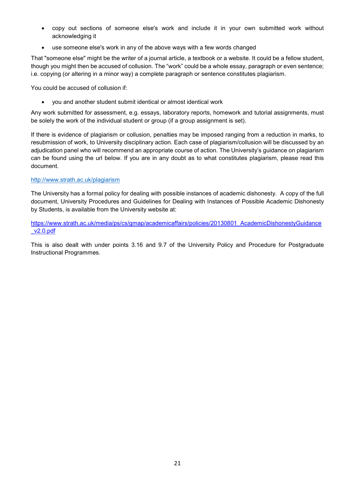- copy out sections of someone else's work and include it in your own submitted work without acknowledging it
- use someone else's work in any of the above ways with a few words changed

That "someone else" might be the writer of a journal article, a textbook or a website. It could be a fellow student, though you might then be accused of collusion. The "work" could be a whole essay, paragraph or even sentence; i.e. copying (or altering in a minor way) a complete paragraph or sentence constitutes plagiarism.

You could be accused of collusion if:

• you and another student submit identical or almost identical work

Any work submitted for assessment, e.g. essays, laboratory reports, homework and tutorial assignments, must be solely the work of the individual student or group (if a group assignment is set).

If there is evidence of plagiarism or collusion, penalties may be imposed ranging from a reduction in marks, to resubmission of work, to University disciplinary action. Each case of plagiarism/collusion will be discussed by an adjudication panel who will recommend an appropriate course of action. The University's guidance on plagiarism can be found using the url below. If you are in any doubt as to what constitutes plagiarism, please read this document.

### <http://www.strath.ac.uk/plagiarism>

The University has a formal policy for dealing with possible instances of academic dishonesty. A copy of the full document, University Procedures and Guidelines for Dealing with Instances of Possible Academic Dishonesty by Students, is available from the University website at:

[https://www.strath.ac.uk/media/ps/cs/gmap/academicaffairs/policies/20130801\\_AcademicDishonestyGuidance](https://www.strath.ac.uk/media/ps/cs/gmap/academicaffairs/policies/20130801_AcademicDishonestyGuidance_v2.0.pdf) [\\_v2.0.pdf](https://www.strath.ac.uk/media/ps/cs/gmap/academicaffairs/policies/20130801_AcademicDishonestyGuidance_v2.0.pdf)

This is also dealt with under points 3.16 and 9.7 of the University Policy and Procedure for Postgraduate Instructional Programmes.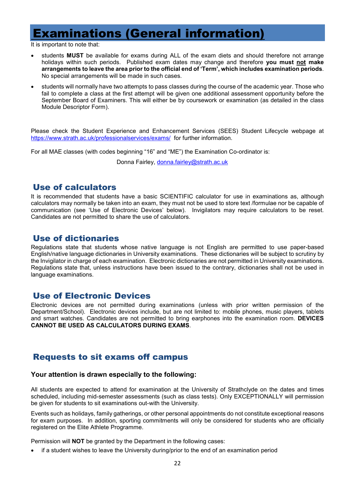# <span id="page-22-0"></span>Examinations (General information)

It is important to note that:

- students **MUST** be available for exams during ALL of the exam diets and should therefore not arrange holidays within such periods. Published exam dates may change and therefore **you must not make arrangements to leave the area prior to the official end of 'Term', which includes examination periods**. No special arrangements will be made in such cases.
- students will normally have two attempts to pass classes during the course of the academic year. Those who fail to complete a class at the first attempt will be given one additional assessment opportunity before the September Board of Examiners. This will either be by coursework or examination (as detailed in the class Module Descriptor Form).

Please check the Student Experience and Enhancement Services (SEES) Student Lifecycle webpage at <https://www.strath.ac.uk/professionalservices/exams/> for further information.

For all MAE classes (with codes beginning "16" and "ME") the Examination Co-ordinator is:

Donna Fairley, [donna.fairley@strath.ac.uk](mailto:donna.fairley@strath.ac.uk)

# <span id="page-22-1"></span>Use of calculators

It is recommended that students have a basic SCIENTIFIC calculator for use in examinations as, although calculators may normally be taken into an exam, they must not be used to store text /formulae nor be capable of communication (see 'Use of Electronic Devices' below). Invigilators may require calculators to be reset. Candidates are not permitted to share the use of calculators.

# <span id="page-22-2"></span>Use of dictionaries

Regulations state that students whose native language is not English are permitted to use paper-based English/native language dictionaries in University examinations. These dictionaries will be subject to scrutiny by the Invigilator in charge of each examination. Electronic dictionaries are not permitted in University examinations. Regulations state that, unless instructions have been issued to the contrary, dictionaries shall not be used in language examinations.

# <span id="page-22-3"></span>Use of Electronic Devices

Electronic devices are not permitted during examinations (unless with prior written permission of the Department/School). Electronic devices include, but are not limited to: mobile phones, music players, tablets and smart watches. Candidates are not permitted to bring earphones into the examination room. **DEVICES CANNOT BE USED AS CALCULATORS DURING EXAMS**.

# <span id="page-22-4"></span>Requests to sit exams off campus

## **Your attention is drawn especially to the following:**

All students are expected to attend for examination at the University of Strathclyde on the dates and times scheduled, including mid-semester assessments (such as class tests). Only EXCEPTIONALLY will permission be given for students to sit examinations out-with the University.

Events such as holidays, family gatherings, or other personal appointments do not constitute exceptional reasons for exam purposes. In addition, sporting commitments will only be considered for students who are officially registered on the Elite Athlete Programme.

Permission will **NOT** be granted by the Department in the following cases:

if a student wishes to leave the University during/prior to the end of an examination period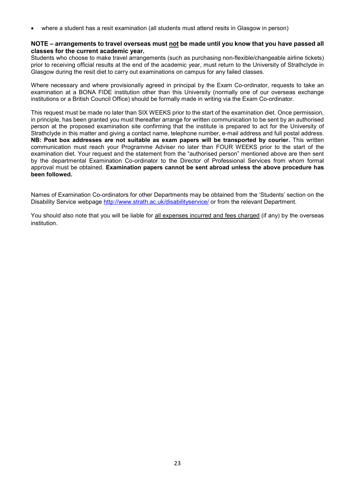• where a student has a resit examination (all students must attend resits in Glasgow in person)

### **NOTE – arrangements to travel overseas must not be made until you know that you have passed all classes for the current academic year.**

Students who choose to make travel arrangements (such as purchasing non-flexible/changeable airline tickets) prior to receiving official results at the end of the academic year, must return to the University of Strathclyde in Glasgow during the resit diet to carry out examinations on campus for any failed classes.

Where necessary and where provisionally agreed in principal by the Exam Co-ordinator, requests to take an examination at a BONA FIDE institution other than this University (normally one of our overseas exchange institutions or a British Council Office) should be formally made in writing via the Exam Co-ordinator.

This request must be made no later than SIX WEEKS prior to the start of the examination diet. Once permission, in principle, has been granted you must thereafter arrange for written communication to be sent by an authorised person at the proposed examination site confirming that the institute is prepared to act for the University of Strathclyde in this matter and giving a contact name, telephone number, e-mail address and full postal address. **NB: Post box addresses are not suitable as exam papers will be transported by courier.** This written communication must reach your Programme Adviser no later than FOUR WEEKS prior to the start of the examination diet. Your request and the statement from the "authorised person" mentioned above are then sent by the departmental Examination Co-ordinator to the Director of Professional Services from whom formal approval must be obtained. **Examination papers cannot be sent abroad unless the above procedure has been followed.** 

Names of Examination Co-ordinators for other Departments may be obtained from the 'Students' section on the Disability Service webpage<http://www.strath.ac.uk/disabilityservice/> or from the relevant Department.

You should also note that you will be liable for all expenses incurred and fees charged (if any) by the overseas institution.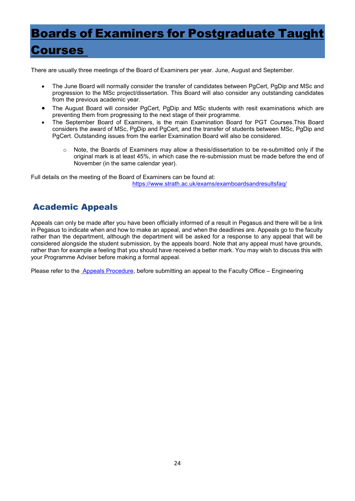# <span id="page-24-0"></span>Boards of Examiners for Postgraduate Taught

# Courses

There are usually three meetings of the Board of Examiners per year. June, August and September.

- The June Board will normally consider the transfer of candidates between PgCert, PgDip and MSc and progression to the MSc project/dissertation. This Board will also consider any outstanding candidates from the previous academic year.
- The August Board will consider PgCert, PgDip and MSc students with resit examinations which are preventing them from progressing to the next stage of their programme.
- The September Board of Examiners, is the main Examination Board for PGT Courses.This Board considers the award of MSc, PgDip and PgCert, and the transfer of students between MSc, PgDip and PgCert. Outstanding issues from the earlier Examination Board will also be considered.
	- o Note, the Boards of Examiners may allow a thesis/dissertation to be re-submitted only if the original mark is at least 45%, in which case the re-submission must be made before the end of November (in the same calendar year).

Full details on the meeting of the Board of Examiners can be found at: <https://www.strath.ac.uk/exams/examboardsandresultsfaq/>

# <span id="page-24-1"></span>Academic Appeals

Appeals can only be made after you have been officially informed of a result in Pegasus and there will be a link in Pegasus to indicate when and how to make an appeal, and when the deadlines are. Appeals go to the faculty rather than the department, although the department will be asked for a response to any appeal that will be considered alongside the student submission, by the appeals board. Note that any appeal must have grounds, rather than for example a feeling that you should have received a better mark. You may wish to discuss this with your Programme Adviser before making a formal appeal.

Please refer to the [Appeals Procedure,](http://www.strath.ac.uk/staff/policies/academic/) before submitting an appeal to the Faculty Office – Engineering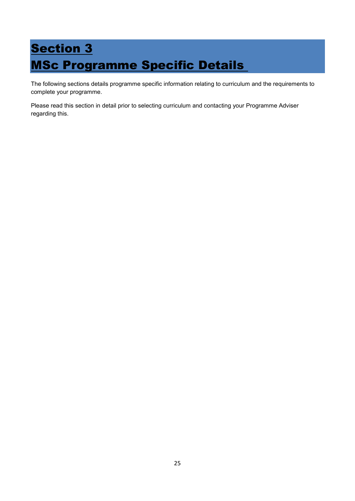# <span id="page-25-1"></span><span id="page-25-0"></span>**Section 3** MSc Programme Specific Details

The following sections details programme specific information relating to curriculum and the requirements to complete your programme.

Please read this section in detail prior to selecting curriculum and contacting your Programme Adviser regarding this.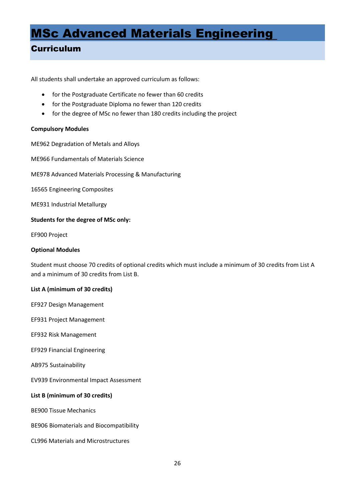# <span id="page-26-0"></span>MSc Advanced Materials Engineering

# <span id="page-26-1"></span>Curriculum

All students shall undertake an approved curriculum as follows:

- for the Postgraduate Certificate no fewer than 60 credits
- for the Postgraduate Diploma no fewer than 120 credits
- for the degree of MSc no fewer than 180 credits including the project

## **Compulsory Modules**

ME962 Degradation of Metals and Alloys

ME966 Fundamentals of Materials Science

ME978 Advanced Materials Processing & Manufacturing

16565 Engineering Composites

ME931 Industrial Metallurgy

## **Students for the degree of MSc only:**

EF900 Project

## **Optional Modules**

Student must choose 70 credits of optional credits which must include a minimum of 30 credits from List A and a minimum of 30 credits from List B.

## **List A (minimum of 30 credits)**

EF927 Design Management

EF931 Project Management

EF932 Risk Management

EF929 Financial Engineering

AB975 Sustainability

EV939 Environmental Impact Assessment

## **List B (minimum of 30 credits)**

BE900 Tissue Mechanics

BE906 Biomaterials and Biocompatibility

CL996 Materials and Microstructures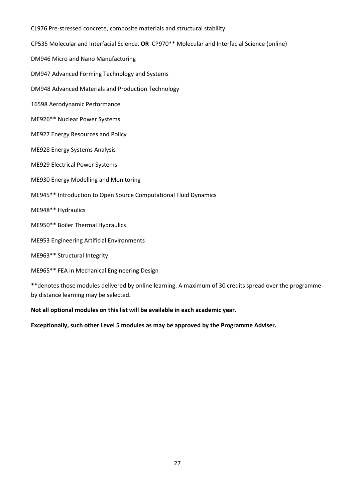CL976 Pre-stressed concrete, composite materials and structural stability CP535 Molecular and Interfacial Science, **OR** CP970\*\* Molecular and Interfacial Science (online) DM946 Micro and Nano Manufacturing DM947 Advanced Forming Technology and Systems DM948 Advanced Materials and Production Technology 16598 Aerodynamic Performance ME926\*\* Nuclear Power Systems ME927 Energy Resources and Policy ME928 Energy Systems Analysis ME929 Electrical Power Systems ME930 Energy Modelling and Monitoring ME945\*\* Introduction to Open Source Computational Fluid Dynamics ME948\*\* Hydraulics ME950\*\* Boiler Thermal Hydraulics ME953 Engineering Artificial Environments ME963\*\* Structural Integrity ME965\*\* FEA in Mechanical Engineering Design \*\*denotes those modules delivered by online learning. A maximum of 30 credits spread over the programme

by distance learning may be selected.

**Not all optional modules on this list will be available in each academic year.**

**Exceptionally, such other Level 5 modules as may be approved by the Programme Adviser.**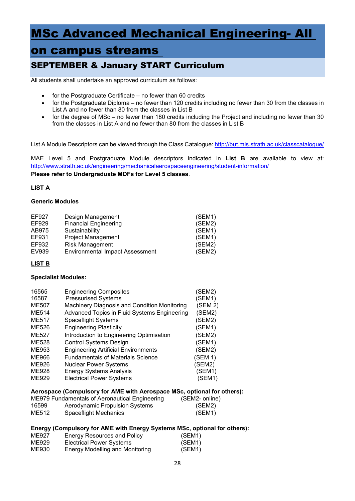# <span id="page-28-0"></span>MSc Advanced Mechanical Engineering- All

# on campus streams

# <span id="page-28-1"></span>SEPTEMBER & January START Curriculum

All students shall undertake an approved curriculum as follows:

- for the Postgraduate Certificate no fewer than 60 credits
- for the Postgraduate Diploma no fewer than 120 credits including no fewer than 30 from the classes in List A and no fewer than 80 from the classes in List B
- for the degree of MSc no fewer than 180 credits including the Project and including no fewer than 30 from the classes in List A and no fewer than 80 from the classes in List B

List A Module Descriptors can be viewed through the Class Catalogue[: http://but.mis.strath.ac.uk/classcatalogue/](http://but.mis.strath.ac.uk/classcatalogue/)

MAE Level 5 and Postgraduate Module descriptors indicated in **List B** are available to view at: <http://www.strath.ac.uk/engineering/mechanicalaerospaceengineering/student-information/> **Please refer to Undergraduate MDFs for Level 5 classes**.

## **LIST A**

## **Generic Modules**

| EF927 | Design Management                      | (SEM1) |
|-------|----------------------------------------|--------|
| EF929 | <b>Financial Engineering</b>           | (SEM2) |
| AB975 | Sustainability                         | (SEM1) |
| EF931 | <b>Project Management</b>              | (SEM1) |
| EF932 | <b>Risk Management</b>                 | (SEM2) |
| EV939 | <b>Environmental Impact Assessment</b> | (SEM2) |

## **LIST B**

## **Specialist Modules:**

| <b>Engineering Composites</b>                | (SEM2)  |
|----------------------------------------------|---------|
| <b>Pressurised Systems</b>                   | (SEM1)  |
| Machinery Diagnosis and Condition Monitoring | (SEM 2) |
| Advanced Topics in Fluid Systems Engineering | (SEM2)  |
| <b>Spaceflight Systems</b>                   | (SEM2)  |
| <b>Engineering Plasticity</b>                | (SEM1)  |
| Introduction to Engineering Optimisation     | (SEM2)  |
| <b>Control Systems Design</b>                | (SEM1)  |
| <b>Engineering Artificial Environments</b>   | (SEM2)  |
| <b>Fundamentals of Materials Science</b>     | (SEM 1) |
| <b>Nuclear Power Systems</b>                 | (SEM2)  |
| <b>Energy Systems Analysis</b>               | (SEM1)  |
| <b>Electrical Power Systems</b>              | (SEM1)  |
|                                              |         |

## **Aerospace (Compulsory for AME with Aerospace MSc, optional for others):**

|       | ME979 Fundamentals of Aeronautical Engineering | (SEM2- online) |
|-------|------------------------------------------------|----------------|
| 16599 | Aerodynamic Propulsion Systems                 | (SEM2)         |
| ME512 | Spaceflight Mechanics                          | (SEM1)         |

### **Energy (Compulsory for AME with Energy Systems MSc, optional for others):**

| ME927 | Energy Resources and Policy     | (SEM1) |
|-------|---------------------------------|--------|
| ME929 | Electrical Power Systems        | (SEM1) |
| ME930 | Energy Modelling and Monitoring | (SEM1) |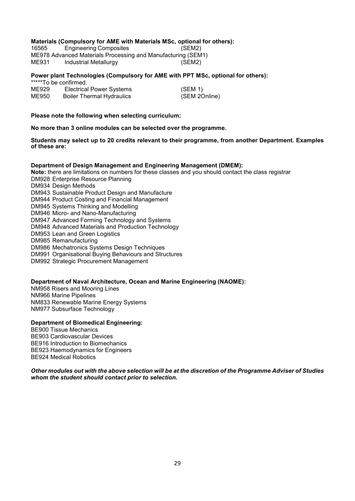# **Materials (Compulsory for AME with Materials MSc, optional for others):**

**Engineering Composites** ME978 Advanced Materials Processing and Manufacturing (SEM1)<br>ME931 Industrial Metallurgy (SEM2) Industrial Metallurgy

#### **Power plant Technologies (Compulsory for AME with PPT MSc, optional for others):**   $****T<sub>0</sub>$  be confirmed.

|       | TO DE COMMITTED.                 |               |
|-------|----------------------------------|---------------|
| ME929 | <b>Electrical Power Systems</b>  | (SEM 1)       |
| ME950 | <b>Boiler Thermal Hydraulics</b> | (SEM 2Online) |

### **Please note the following when selecting curriculum:**

**No more than 3 online modules can be selected over the programme.**

### **Students may select up to 20 credits relevant to their programme, from another Department. Examples of these are:**

### **Department of Design Management and Engineering Management (DMEM):**

**Note:** there are limitations on numbers for these classes and you should contact the class registrar

DM928 Enterprise Resource Planning

DM934 Design Methods

DM943 Sustainable Product Design and Manufacture

DM944 Product Costing and Financial Management

- DM945 Systems Thinking and Modelling
- DM946 Micro- and Nano-Manufacturing
- DM947 Advanced Forming Technology and Systems
- DM948 Advanced Materials and Production Technology
- DM953 Lean and Green Logistics
- DM985 Remanufacturing
- DM986 Mechatronics Systems Design Techniques
- DM991 Organisational Buying Behaviours and Structures
- DM992 Strategic Procurement Management

### **Department of Naval Architecture, Ocean and Marine Engineering (NAOME):**

NM958 Risers and Mooring Lines NM966 Marine Pipelines NM833 Renewable Marine Energy Systems NM977 Subsurface Technology

### **Department of Biomedical Engineering:**

BE900 Tissue Mechanics BE903 Cardiovascular Devices BE916 Introduction to Biomechanics BE923 Haemodynamics for Engineers BE924 Medical Robotics

### *Other modules out with the above selection will be at the discretion of the Programme Adviser of Studies whom the student should contact prior to selection.*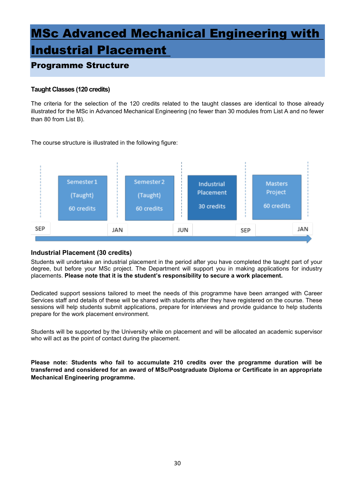# <span id="page-30-0"></span>MSc Advanced Mechanical Engineering with

# Industrial Placement

# <span id="page-30-1"></span>Programme Structure

# **Taught Classes (120 credits)**

The criteria for the selection of the 120 credits related to the taught classes are identical to those already illustrated for the MSc in Advanced Mechanical Engineering (no fewer than 30 modules from List A and no fewer than 80 from List B).

The course structure is illustrated in the following figure:



# **Industrial Placement (30 credits)**

Students will undertake an industrial placement in the period after you have completed the taught part of your degree, but before your MSc project. The Department will support you in making applications for industry placements. **Please note that it is the student's responsibility to secure a work placement.**

Dedicated support sessions tailored to meet the needs of this programme have been arranged with Career Services staff and details of these will be shared with students after they have registered on the course. These sessions will help students submit applications, prepare for interviews and provide guidance to help students prepare for the work placement environment.

Students will be supported by the University while on placement and will be allocated an academic supervisor who will act as the point of contact during the placement.

**Please note: Students who fail to accumulate 210 credits over the programme duration will be transferred and considered for an award of MSc/Postgraduate Diploma or Certificate in an appropriate Mechanical Engineering programme.**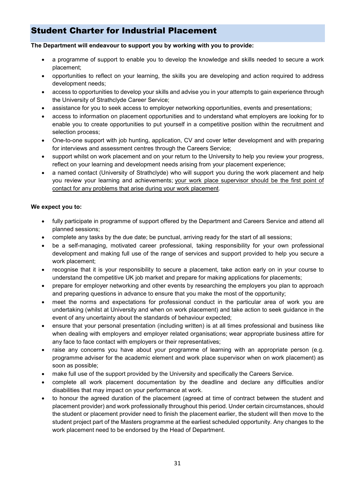# <span id="page-31-0"></span>Student Charter for Industrial Placement

## **The Department will endeavour to support you by working with you to provide:**

- a programme of support to enable you to develop the knowledge and skills needed to secure a work placement;
- opportunities to reflect on your learning, the skills you are developing and action required to address development needs;
- access to opportunities to develop your skills and advise you in your attempts to gain experience through the University of Strathclyde Career Service;
- assistance for you to seek access to employer networking opportunities, events and presentations;
- access to information on placement opportunities and to understand what employers are looking for to enable you to create opportunities to put yourself in a competitive position within the recruitment and selection process;
- One-to-one support with job hunting, application, CV and cover letter development and with preparing for interviews and assessment centres through the Careers Service;
- support whilst on work placement and on your return to the University to help you review your progress, reflect on your learning and development needs arising from your placement experience;
- a named contact (University of Strathclyde) who will support you during the work placement and help you review your learning and achievements; your work place supervisor should be the first point of contact for any problems that arise during your work placement.

## **We expect you to:**

- fully participate in programme of support offered by the Department and Careers Service and attend all planned sessions;
- complete any tasks by the due date; be punctual, arriving ready for the start of all sessions;
- be a self-managing, motivated career professional, taking responsibility for your own professional development and making full use of the range of services and support provided to help you secure a work placement;
- recognise that it is your responsibility to secure a placement, take action early on in your course to understand the competitive UK job market and prepare for making applications for placements;
- prepare for employer networking and other events by researching the employers you plan to approach and preparing questions in advance to ensure that you make the most of the opportunity;
- meet the norms and expectations for professional conduct in the particular area of work you are undertaking (whilst at University and when on work placement) and take action to seek guidance in the event of any uncertainty about the standards of behaviour expected;
- ensure that your personal presentation (including written) is at all times professional and business like when dealing with employers and employer related organisations; wear appropriate business attire for any face to face contact with employers or their representatives;
- raise any concerns you have about your programme of learning with an appropriate person (e.g. programme adviser for the academic element and work place supervisor when on work placement) as soon as possible;
- make full use of the support provided by the University and specifically the Careers Service.
- complete all work placement documentation by the deadline and declare any difficulties and/or disabilities that may impact on your performance at work.
- to honour the agreed duration of the placement (agreed at time of contract between the student and placement provider) and work professionally throughout this period. Under certain circumstances, should the student or placement provider need to finish the placement earlier, the student will then move to the student project part of the Masters programme at the earliest scheduled opportunity. Any changes to the work placement need to be endorsed by the Head of Department.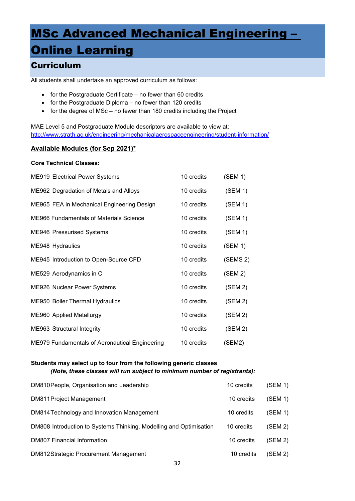# <span id="page-32-0"></span>MSc Advanced Mechanical Engineering –

# **Online Learning**

# <span id="page-32-1"></span>**Curriculum**

All students shall undertake an approved curriculum as follows:

- for the Postgraduate Certificate no fewer than 60 credits
- for the Postgraduate Diploma no fewer than 120 credits
- for the degree of MSc no fewer than 180 credits including the Project

MAE Level 5 and Postgraduate Module descriptors are available to view at: <http://www.strath.ac.uk/engineering/mechanicalaerospaceengineering/student-information/>

## **Available Modules (for Sep 2021)\***

### **Core Technical Classes:**

| <b>ME919 Electrical Power Systems</b>          | 10 credits | (SEM 1)  |
|------------------------------------------------|------------|----------|
| ME962 Degradation of Metals and Alloys         | 10 credits | (SEM 1)  |
| ME965 FEA in Mechanical Engineering Design     | 10 credits | (SEM 1)  |
| <b>ME966 Fundamentals of Materials Science</b> | 10 credits | (SEM 1)  |
| <b>ME946 Pressurised Systems</b>               | 10 credits | (SEM 1)  |
| ME948 Hydraulics                               | 10 credits | (SEM 1)  |
| ME945 Introduction to Open-Source CFD          | 10 credits | (SEMS 2) |
| ME529 Aerodynamics in C                        | 10 credits | (SEM 2)  |
| ME926 Nuclear Power Systems                    | 10 credits | (SEM 2)  |
| <b>ME950 Boiler Thermal Hydraulics</b>         | 10 credits | (SEM 2)  |
| ME960 Applied Metallurgy                       | 10 credits | (SEM 2)  |
| ME963 Structural Integrity                     | 10 credits | (SEM 2)  |
| ME979 Fundamentals of Aeronautical Engineering | 10 credits | (SEM2)   |

## **Students may select up to four from the following generic classes** *(Note, these classes will run subject to minimum number of registrants):*

| DM810 People, Organisation and Leadership                          | 10 credits | (SEM 1) |
|--------------------------------------------------------------------|------------|---------|
| DM811 Project Management                                           | 10 credits | (SEM 1) |
| DM814 Technology and Innovation Management                         | 10 credits | (SEM 1) |
| DM808 Introduction to Systems Thinking, Modelling and Optimisation | 10 credits | (SEM 2) |
| <b>DM807 Financial Information</b>                                 | 10 credits | (SEM 2) |
| DM812Strategic Procurement Management                              | 10 credits | (SEM 2) |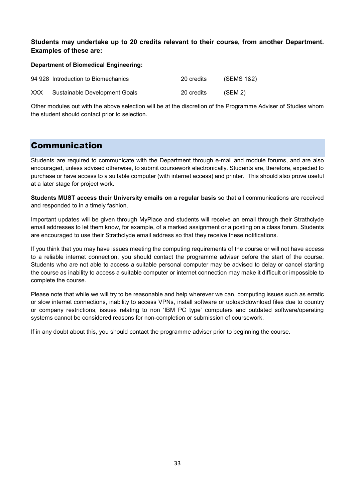# **Students may undertake up to 20 credits relevant to their course, from another Department. Examples of these are:**

### **Department of Biomedical Engineering:**

|            | 94 928 Introduction to Biomechanics | 20 credits | (SEMS 1&2) |
|------------|-------------------------------------|------------|------------|
| <b>XXX</b> | Sustainable Development Goals       | 20 credits | (SEM 2)    |

Other modules out with the above selection will be at the discretion of the Programme Adviser of Studies whom the student should contact prior to selection.

# <span id="page-33-0"></span>Communication

Students are required to communicate with the Department through e-mail and module forums, and are also encouraged, unless advised otherwise, to submit coursework electronically. Students are, therefore, expected to purchase or have access to a suitable computer (with internet access) and printer. This should also prove useful at a later stage for project work.

**Students MUST access their University emails on a regular basis** so that all communications are received and responded to in a timely fashion.

Important updates will be given through MyPlace and students will receive an email through their Strathclyde email addresses to let them know, for example, of a marked assignment or a posting on a class forum. Students are encouraged to use their Strathclyde email address so that they receive these notifications.

If you think that you may have issues meeting the computing requirements of the course or will not have access to a reliable internet connection, you should contact the programme adviser before the start of the course. Students who are not able to access a suitable personal computer may be advised to delay or cancel starting the course as inability to access a suitable computer or internet connection may make it difficult or impossible to complete the course.

Please note that while we will try to be reasonable and help wherever we can, computing issues such as erratic or slow internet connections, inability to access VPNs, install software or upload/download files due to country or company restrictions, issues relating to non 'IBM PC type' computers and outdated software/operating systems cannot be considered reasons for non-completion or submission of coursework.

If in any doubt about this, you should contact the programme adviser prior to beginning the course.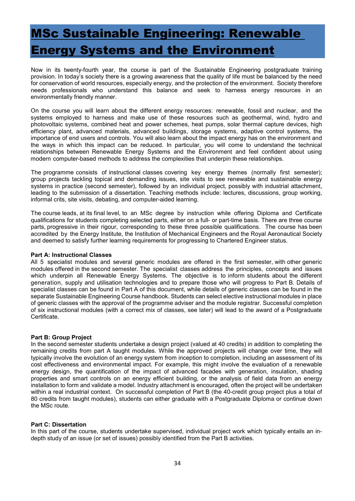# <span id="page-34-0"></span>MSc Sustainable Engineering: Renewable Energy Systems and the Environment

Now in its twenty-fourth year, the course is part of the Sustainable Engineering postgraduate training provision. In today's society there is a growing awareness that the quality of life must be balanced by the need for conservation of world resources, especially energy, and the protection of the environment. Society therefore needs professionals who understand this balance and seek to harness energy resources in an environmentally friendly manner.

On the course you will learn about the different energy resources: renewable, fossil and nuclear, and the systems employed to harness and make use of these resources such as geothermal, wind, hydro and photovoltaic systems, combined heat and power schemes, heat pumps, solar thermal capture devices, high efficiency plant, advanced materials, advanced buildings, storage systems, adaptive control systems, the importance of end users and controls. You will also learn about the impact energy has on the environment and the ways in which this impact can be reduced. In particular, you will come to understand the technical relationships between Renewable Energy Systems and the Environment and feel confident about using modern computer-based methods to address the complexities that underpin these relationships.

The programme consists of instructional classes covering key energy themes (normally first semester); group projects tackling topical and demanding issues, site visits to see renewable and sustainable energy systems in practice (second semester), followed by an individual project, possibly with industrial attachment, leading to the submission of a dissertation. Teaching methods include: lectures, discussions, group working, informal crits, site visits, debating, and computer-aided learning.

The course leads, at its final level, to an MSc degree by instruction while offering Diploma and Certificate qualifications for students completing selected parts, either on a full- or part-time basis. There are three course parts, progressive in their rigour, corresponding to these three possible qualifications. The course has been accredited by the Energy Institute, the Institution of Mechanical Engineers and the Royal Aeronautical Society and deemed to satisfy further learning requirements for progressing to Chartered Engineer status.

### **Part A: Instructional Classes**

All 5 specialist modules and several generic modules are offered in the first semester, with other generic modules offered in the second semester. The specialist classes address the principles, concepts and issues which underpin all Renewable Energy Systems. The objective is to inform students about the different generation, supply and utilisation technologies and to prepare those who will progress to Part B. Details of specialist classes can be found in Part A of this document, while details of generic classes can be found in the separate Sustainable Engineering Course handbook. Students can select elective instructional modules in place of generic classes with the approval of the programme adviser and the module registrar. Successful completion of six instructional modules (with a correct mix of classes, see later) will lead to the award of a Postgraduate Certificate.

## **Part B: Group Project**

In the second semester students undertake a design project (valued at 40 credits) in addition to completing the remaining credits from part A taught modules. While the approved projects will change over time, they will typically involve the evolution of an energy system from inception to completion, including an assessment of its cost effectiveness and environmental impact. For example, this might involve the evaluation of a renewable energy design, the quantification of the impact of advanced facades with generation, insulation, shading properties and smart controls on an energy efficient building, or the analysis of field data from an energy installation to form and validate a model. Industry attachment is encouraged, often the project will be undertaken within a real industrial context. On successful completion of Part B (the 40-credit group project plus a total of 80 credits from taught modules), students can either graduate with a Postgraduate Diploma or continue down the MSc route.

## **Part C: Dissertation**

In this part of the course, students undertake supervised, individual project work which typically entails an indepth study of an issue (or set of issues) possibly identified from the Part B activities.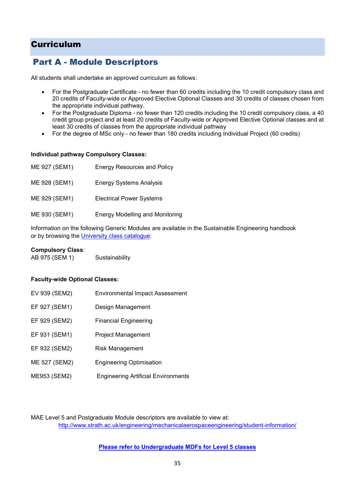# <span id="page-35-0"></span>Curriculum

# <span id="page-35-1"></span>Part A - Module Descriptors

All students shall undertake an approved curriculum as follows:

- For the Postgraduate Certificate no fewer than 60 credits including the 10 credit compulsory class and 20 credits of Faculty-wide or Approved Elective Optional Classes and 30 credits of classes chosen from the appropriate individual pathway.
- For the Postgraduate Diploma no fewer than 120 credits including the 10 credit compulsory class, a 40 credit group project and at least 20 credits of Faculty-wide or Approved Elective Optional classes and at least 30 credits of classes from the appropriate individual pathway
- For the degree of MSc only no fewer than 180 credits including Individual Project (60 credits)

### **Individual pathway Compulsory Classes:**

| ME 927 (SEM1) | <b>Energy Resources and Policy</b>     |
|---------------|----------------------------------------|
| ME 928 (SEM1) | <b>Energy Systems Analysis</b>         |
| ME 929 (SEM1) | <b>Electrical Power Systems</b>        |
| ME 930 (SEM1) | <b>Energy Modelling and Monitoring</b> |

Information on the following Generic Modules are available in the Sustainable Engineering handbook or by browsing the *University class catalogue*:

### **Compulsory Class**:

| AB 975 (SEM 1) | Sustainability |
|----------------|----------------|
|----------------|----------------|

## **Faculty-wide Optional Classes:**

| EV 939 (SEM2) | <b>Environmental Impact Assessment</b>     |
|---------------|--------------------------------------------|
| EF 927 (SEM1) | Design Management                          |
| EF 929 (SEM2) | <b>Financial Engineering</b>               |
| EF 931 (SEM1) | <b>Project Management</b>                  |
| EF 932 (SEM2) | Risk Management                            |
| ME 527 (SEM2) | <b>Engineering Optimisation</b>            |
| ME953 (SEM2)  | <b>Engineering Artificial Environments</b> |

MAE Level 5 and Postgraduate Module descriptors are available to view at: <http://www.strath.ac.uk/engineering/mechanicalaerospaceengineering/student-information/>

## **Please refer to Undergraduate MDFs for Level 5 classes**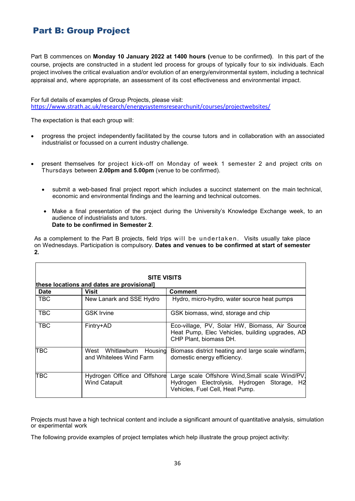# <span id="page-36-0"></span>Part B: Group Project

Part B commences on **Monday 10 January 2022 at 1400 hours (**venue to be confirmed**)**. In this part of the course, projects are constructed in a student led process for groups of typically four to six individuals. Each project involves the critical evaluation and/or evolution of an energy/environmental system, including a technical appraisal and, where appropriate, an assessment of its cost effectiveness and environmental impact.

For full details of examples of Group Projects, please visit: <https://www.strath.ac.uk/research/energysystemsresearchunit/courses/projectwebsites/>

The expectation is that each group will:

- progress the project independently facilitated by the course tutors and in collaboration with an associated industrialist or focussed on a current industry challenge.
- present themselves for project kick-off on Monday of week 1 semester 2 and project crits on Thursdays between **2.00pm and 5.00pm** (venue to be confirmed).
	- submit a web-based final project report which includes a succinct statement on the main technical, economic and environmental findings and the learning and technical outcomes.
	- Make a final presentation of the project during the University's Knowledge Exchange week, to an audience of industrialists and tutors. **Date to be confirmed in Semester 2**.

As a complement to the Part B projects, field trips will be undertaken. Visits usually take place on Wednesdays. Participation is compulsory. **Dates and venues to be confirmed at start of semester 2.**

| <b>Date</b> | Visit                                                | <b>Comment</b>                                                                                                                    |
|-------------|------------------------------------------------------|-----------------------------------------------------------------------------------------------------------------------------------|
| <b>TBC</b>  | New Lanark and SSE Hydro                             | Hydro, micro-hydro, water source heat pumps                                                                                       |
| TBC         | <b>GSK Irvine</b>                                    | GSK biomass, wind, storage and chip                                                                                               |
| <b>TBC</b>  | Fintry+AD                                            | Eco-village, PV, Solar HW, Biomass, Air Source<br>Heat Pump, Elec Vehicles, building upgrades, AD<br>CHP Plant, biomass DH.       |
| TBC         | West Whitlawburn Housing<br>and Whitelees Wind Farm  | Biomass district heating and large scale windfarm,<br>domestic energy efficiency.                                                 |
| TBC         | Hydrogen Office and Offshore<br><b>Wind Catapult</b> | Large scale Offshore Wind, Small scale Wind/PV,<br>Hydrogen Electrolysis, Hydrogen Storage, H2<br>Vehicles, Fuel Cell, Heat Pump. |

Projects must have a high technical content and include a significant amount of quantitative analysis, simulation or experimental work

The following provide examples of project templates which help illustrate the group project activity: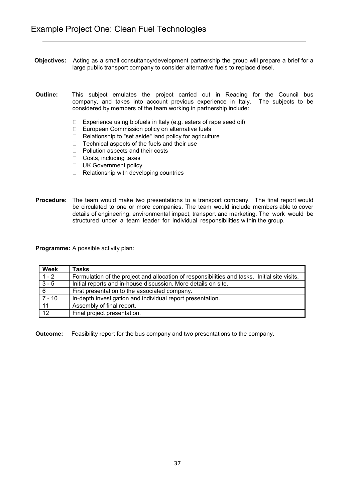- **Objectives:** Acting as a small consultancy/development partnership the group will prepare a brief for a large public transport company to consider alternative fuels to replace diesel.
- **Outline:** This subject emulates the project carried out in Reading for the Council bus company, and takes into account previous experience in Italy. The subjects to be considered by members of the team working in partnership include:
	- $\Box$  Experience using biofuels in Italy (e.g. esters of rape seed oil)
	- □ European Commission policy on alternative fuels
	- □ Relationship to "set aside" land policy for agriculture
	- $\Box$  Technical aspects of the fuels and their use
	- □ Pollution aspects and their costs
	- $\Box$  Costs, including taxes
	- UK Government policy
	- $\Box$  Relationship with developing countries
- **Procedure:** The team would make two presentations to a transport company. The final report would be circulated to one or more companies. The team would include members able to cover details of engineering, environmental impact, transport and marketing. The work would be structured under a team leader for individual responsibilities within the group.

| <b>Week</b>     | <b>Tasks</b>                                                                                  |
|-----------------|-----------------------------------------------------------------------------------------------|
| $1 - 2$         | Formulation of the project and allocation of responsibilities and tasks. Initial site visits. |
| $3 - 5$         | Initial reports and in-house discussion. More details on site.                                |
| $\sqrt{6}$      | First presentation to the associated company.                                                 |
| $7 - 10$        | In-depth investigation and individual report presentation.                                    |
| 11              | Assembly of final report.                                                                     |
| $\overline{12}$ | Final project presentation.                                                                   |

**Outcome:** Feasibility report for the bus company and two presentations to the company.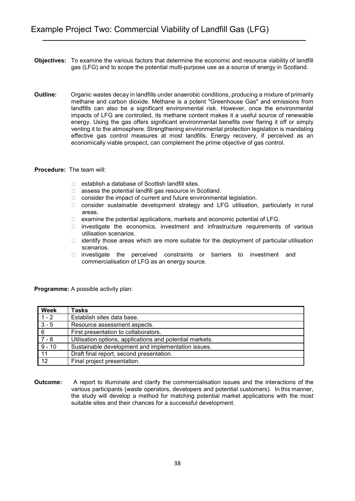- **Objectives:** To examine the various factors that determine the economic and resource viability of landfill gas (LFG) and to scope the potential multi-purpose use as a source of energy in Scotland.
- **Outline:** Organic wastes decay in landfills under anaerobic conditions, producing a mixture of primarily methane and carbon dioxide. Methane is a potent "Greenhouse Gas" and emissions from landfills can also be a significant environmental risk. However, once the environmental impacts of LFG are controlled, its methane content makes it a useful source of renewable energy. Using the gas offers significant environmental benefits over flaring it off or simply venting it to the atmosphere. Strengthening environmental protection legislation is mandating effective gas control measures at most landfills. Energy recovery, if perceived as an economically viable prospect, can complement the prime objective of gas control.
- **Procedure:** The team will:
	- $\Box$  establish a database of Scottish landfill sites.
	- □ assess the potential landfill gas resource in Scotland.
	- $\Box$  consider the impact of current and future environmental legislation.
	- $\Box$  consider sustainable development strategy and LFG utilisation, particularly in rural areas.
	- □ examine the potential applications, markets and economic potential of LFG.
	- $\Box$  investigate the economics, investment and infrastructure requirements of various utilisation scenarios.
	- $\Box$  identify those areas which are more suitable for the deployment of particular utilisation scenarios.
	- $\Box$  investigate the perceived constraints or barriers to investment and commercialisation of LFG as an energy source.

| <b>Week</b>     | <b>Tasks</b>                                             |
|-----------------|----------------------------------------------------------|
| $1 - 2$         | Establish sites data base.                               |
| $3 - 5$         | Resource assessment aspects.                             |
| $\overline{6}$  | First presentation to collaborators.                     |
| $7 - 8$         | Utilisation options, applications and potential markets. |
| $9 - 10$        | Sustainable development and implementation issues.       |
| 11              | Draft final report, second presentation.                 |
| $\overline{12}$ | Final project presentation.                              |

**Outcome:** A report to illuminate and clarify the commercialisation issues and the interactions of the various participants (waste operators, developers and potential customers). In this manner, the study will develop a method for matching potential market applications with the most suitable sites and their chances for a successful development.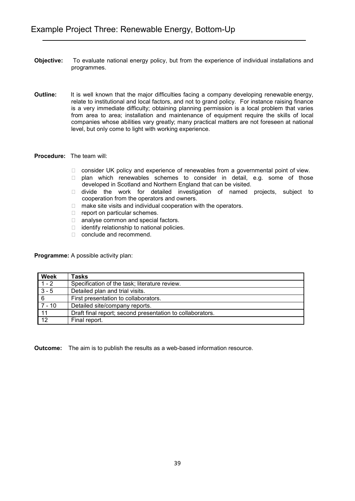- **Objective:** To evaluate national energy policy, but from the experience of individual installations and programmes.
- **Outline:** It is well known that the major difficulties facing a company developing renewable energy, relate to institutional and local factors, and not to grand policy. For instance raising finance is a very immediate difficulty; obtaining planning permission is a local problem that varies from area to area; installation and maintenance of equipment require the skills of local companies whose abilities vary greatly; many practical matters are not foreseen at national level, but only come to light with working experience.
- **Procedure:** The team will:
	- □ consider UK policy and experience of renewables from a governmental point of view.
	- □ plan which renewables schemes to consider in detail, e.g. some of those developed in Scotland and Northern England that can be visited.
	- □ divide the work for detailed investigation of named projects, subject to cooperation from the operators and owners.
	- $\Box$  make site visits and individual cooperation with the operators.
	- $\Box$  report on particular schemes.
	- □ analyse common and special factors.
	- $\Box$  identify relationship to national policies.
	- □ conclude and recommend.

| <b>Week</b>     | <b>Tasks</b>                                              |
|-----------------|-----------------------------------------------------------|
| $1 - 2$         | Specification of the task; literature review.             |
| $3 - 5$         | Detailed plan and trial visits.                           |
| 6               | First presentation to collaborators.                      |
| 7 - 10          | Detailed site/company reports.                            |
| 11              | Draft final report; second presentation to collaborators. |
| $\overline{12}$ | Final report.                                             |

**Outcome:** The aim is to publish the results as a web-based information resource.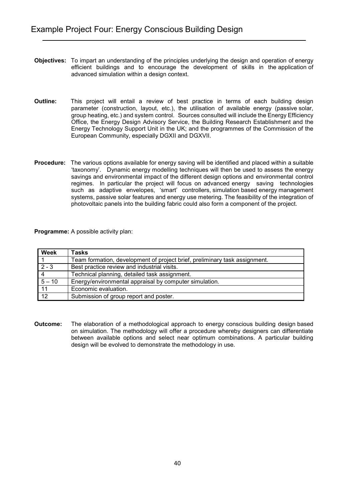- **Objectives:** To impart an understanding of the principles underlying the design and operation of energy efficient buildings and to encourage the development of skills in the application of advanced simulation within a design context.
- **Outline:** This project will entail a review of best practice in terms of each building design parameter (construction, layout, etc.), the utilisation of available energy (passive solar, group heating, etc.) and system control. Sources consulted will include the Energy Efficiency Office, the Energy Design Advisory Service, the Building Research Establishment and the Energy Technology Support Unit in the UK; and the programmes of the Commission of the European Community, especially DGXII and DGXVII.
- **Procedure:** The various options available for energy saving will be identified and placed within a suitable 'taxonomy'. Dynamic energy modelling techniques will then be used to assess the energy savings and environmental impact of the different design options and environmental control regimes. In particular the project will focus on advanced energy saving technologies such as adaptive envelopes, 'smart' controllers, simulation based energy management systems, passive solar features and energy use metering. The feasibility of the integration of photovoltaic panels into the building fabric could also form a component of the project.

| <b>Week</b>     | Tasks                                                                      |
|-----------------|----------------------------------------------------------------------------|
|                 | Team formation, development of project brief, preliminary task assignment. |
| $2 - 3$         | Best practice review and industrial visits.                                |
|                 | Technical planning, detailed task assignment.                              |
| $5 - 10$        | Energy/environmental appraisal by computer simulation.                     |
| 11              | Economic evaluation.                                                       |
| $\overline{12}$ | Submission of group report and poster.                                     |

**Outcome:** The elaboration of a methodological approach to energy conscious building design based on simulation. The methodology will offer a procedure whereby designers can differentiate between available options and select near optimum combinations. A particular building design will be evolved to demonstrate the methodology in use.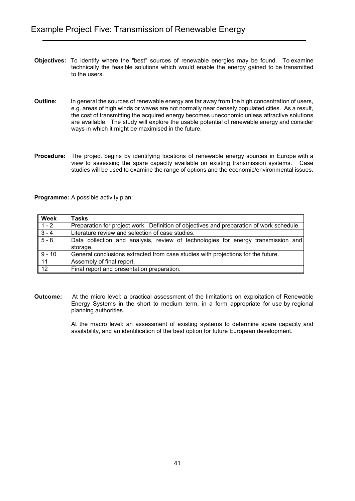- **Objectives:** To identify where the "best" sources of renewable energies may be found. To examine technically the feasible solutions which would enable the energy gained to be transmitted to the users.
- **Outline:** In general the sources of renewable energy are far away from the high concentration of users, e.g. areas of high winds or waves are not normally near densely populated cities. As a result, the cost of transmitting the acquired energy becomes uneconomic unless attractive solutions are available. The study will explore the usable potential of renewable energy and consider ways in which it might be maximised in the future.
- **Procedure:** The project begins by identifying locations of renewable energy sources in Europe with a view to assessing the spare capacity available on existing transmission systems. Case studies will be used to examine the range of options and the economic/environmental issues.

| <b>Week</b>     | <b>Tasks</b>                                                                             |
|-----------------|------------------------------------------------------------------------------------------|
| $1 - 2$         | Preparation for project work. Definition of objectives and preparation of work schedule. |
| $3 - 4$         | Literature review and selection of case studies.                                         |
| $5 - 8$         | Data collection and analysis, review of technologies for energy transmission and         |
|                 | storage.                                                                                 |
| $9 - 10$        | General conclusions extracted from case studies with projections for the future.         |
| $\sqrt{11}$     | Assembly of final report.                                                                |
| $\overline{12}$ | Final report and presentation preparation.                                               |

**Outcome:** At the micro level: a practical assessment of the limitations on exploitation of Renewable Energy Systems in the short to medium term, in a form appropriate for use by regional planning authorities.

> At the macro level: an assessment of existing systems to determine spare capacity and availability, and an identification of the best option for future European development.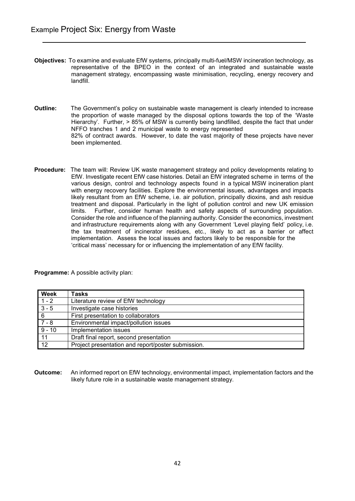- **Objectives:** To examine and evaluate EfW systems, principally multi-fuel/MSW incineration technology, as representative of the BPEO in the context of an integrated and sustainable waste management strategy, encompassing waste minimisation, recycling, energy recovery and landfill.
- **Outline:** The Government's policy on sustainable waste management is clearly intended to increase the proportion of waste managed by the disposal options towards the top of the 'Waste Hierarchy'. Further, > 85% of MSW is currently being landfilled, despite the fact that under NFFO tranches 1 and 2 municipal waste to energy represented 82% of contract awards. However, to date the vast majority of these projects have never been implemented.
- **Procedure:** The team will: Review UK waste management strategy and policy developments relating to EfW. Investigate recent EfW case histories. Detail an EfW integrated scheme in terms of the various design, control and technology aspects found in a typical MSW incineration plant with energy recovery facilities. Explore the environmental issues, advantages and impacts likely resultant from an EfW scheme, i.e. air pollution, principally dioxins, and ash residue treatment and disposal. Particularly in the light of pollution control and new UK emission<br>limits. Further, consider human health and safety aspects of surrounding population. Further, consider human health and safety aspects of surrounding population. Consider the role and influence of the planning authority. Consider the economics, investment and infrastructure requirements along with any Government 'Level playing field' policy, i.e. the tax treatment of incinerator residues, etc., likely to act as a barrier or affect implementation. Assess the local issues and factors likely to be responsible for the 'critical mass' necessary for or influencing the implementation of any EfW facility.

**Week Tasks** 1 - 2 Literature review of EfW technology 3 - 5 Investigate case histories 6 First presentation to collaborators<br>7 - 8 Finvironmental impact/pollution iss Environmental impact/pollution issues 9 - 10 | Implementation issues 11 Draft final report, second presentation 12 Project presentation and report/poster submission.

**Programme:** A possible activity plan:

**Outcome:** An informed report on EfW technology, environmental impact, implementation factors and the likely future role in a sustainable waste management strategy.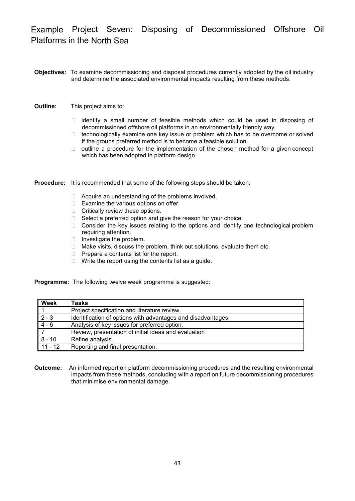Example Project Seven: Disposing of Decommissioned Offshore Oil Platforms in the North Sea

- **Objectives:** To examine decommissioning and disposal procedures currently adopted by the oil industry and determine the associated environmental impacts resulting from these methods.
- **Outline:** This project aims to:
	- $\Box$  identify a small number of feasible methods which could be used in disposing of decommissioned offshore oil platforms in an environmentally friendly way.
	- $\Box$  technologically examine one key issue or problem which has to be overcome or solved if the groups preferred method is to become a feasible solution.
	- $\Box$  outline a procedure for the implementation of the chosen method for a given concept which has been adopted in platform design.

**Procedure:** It is recommended that some of the following steps should be taken:

- □ Acquire an understanding of the problems involved.
- $\Box$  Examine the various options on offer.
- □ Critically review these options.
- $\Box$  Select a preferred option and give the reason for your choice.
- $\Box$  Consider the key issues relating to the options and identify one technological problem requiring attention.
- $\Box$  Investigate the problem.
- □ Make visits, discuss the problem, think out solutions, evaluate them etc.
- $\Box$  Prepare a contents list for the report.
- $\Box$  Write the report using the contents list as a guide.

**Programme:** The following twelve week programme is suggested:

| <b>Week</b> | <b>Tasks</b>                                                 |
|-------------|--------------------------------------------------------------|
|             | Project specification and literature review.                 |
| $2 - 3$     | Identification of options with advantages and disadvantages. |
| $4 - 6$     | Analysis of key issues for preferred option.                 |
|             | Review, presentation of initial ideas and evaluation         |
| $8 - 10$    | Refine analysis.                                             |
| $11 - 12$   | Reporting and final presentation.                            |

**Outcome:** An informed report on platform decommissioning procedures and the resulting environmental impacts from these methods, concluding with a report on future decommissioning procedures that minimise environmental damage.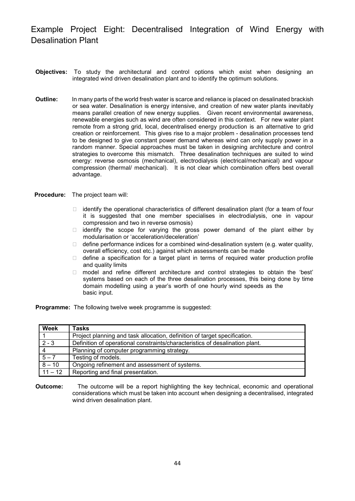Example Project Eight: Decentralised Integration of Wind Energy with Desalination Plant

- **Objectives:** To study the architectural and control options which exist when designing an integrated wind driven desalination plant and to identify the optimum solutions.
- **Outline:** In many parts of the world fresh water is scarce and reliance is placed on desalinated brackish or sea water. Desalination is energy intensive, and creation of new water plants inevitably means parallel creation of new energy supplies. Given recent environmental awareness, renewable energies such as wind are often considered in this context. For new water plant remote from a strong grid, local, decentralised energy production is an alternative to grid creation or reinforcement. This gives rise to a major problem - desalination processes tend to be designed to give constant power demand whereas wind can only supply power in a random manner. Special approaches must be taken in designing architecture and control strategies to overcome this mismatch. Three desalination techniques are suited to wind energy: reverse osmosis (mechanical), electrodialysis (electrical/mechanical) and vapour compression (thermal/ mechanical). It is not clear which combination offers best overall advantage.
- **Procedure:** The project team will:
	- $\Box$  identify the operational characteristics of different desalination plant (for a team of four it is suggested that one member specialises in electrodialysis, one in vapour compression and two in reverse osmosis)
	- $\Box$  identify the scope for varying the gross power demand of the plant either by modularisation or 'acceleration/deceleration'
	- $\Box$  define performance indices for a combined wind-desalination system (e.g. water quality, overall efficiency, cost etc.) against which assessments can be made
	- $\Box$  define a specification for a target plant in terms of required water production profile and quality limits
	- $\Box$  model and refine different architecture and control strategies to obtain the 'best' systems based on each of the three desalination processes, this being done by time domain modelling using a year's worth of one hourly wind speeds as the basic input.

**Programme:** The following twelve week programme is suggested:

| <b>Week</b>    | Tasks                                                                        |
|----------------|------------------------------------------------------------------------------|
|                | Project planning and task allocation, definition of target specification.    |
| $2 - 3$        | Definition of operational constraints/characteristics of desalination plant. |
| $\overline{4}$ | Planning of computer programming strategy.                                   |
| $5 - 7$        | Testing of models.                                                           |
| $8 - 10$       | Ongoing refinement and assessment of systems.                                |
| $11 - 12$      | Reporting and final presentation.                                            |

**Outcome:** The outcome will be a report highlighting the key technical, economic and operational considerations which must be taken into account when designing a decentralised, integrated wind driven desalination plant.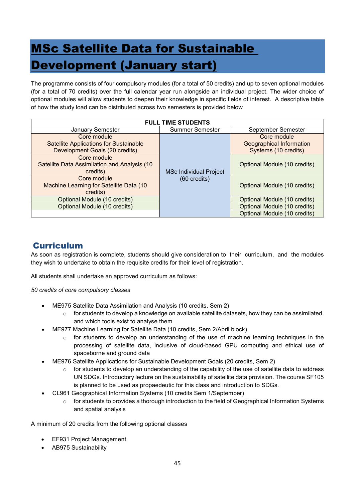# <span id="page-45-0"></span>MSc Satellite Data for Sustainable Development (January start)

The programme consists of four compulsory modules (for a total of 50 credits) and up to seven optional modules (for a total of 70 credits) over the full calendar year run alongside an individual project. The wider choice of optional modules will allow students to deepen their knowledge in specific fields of interest. A descriptive table of how the study load can be distributed across two semesters is provided below

| <b>FULL TIME STUDENTS</b>                                                                      |                               |                                                                        |
|------------------------------------------------------------------------------------------------|-------------------------------|------------------------------------------------------------------------|
| January Semester                                                                               | <b>Summer Semester</b>        | September Semester                                                     |
| Core module<br><b>Satellite Applications for Sustainable</b><br>Development Goals (20 credits) | <b>MSc Individual Project</b> | Core module<br><b>Geographical Information</b><br>Systems (10 credits) |
| Core module<br>Satellite Data Assimilation and Analysis (10<br>credits)                        |                               | Optional Module (10 credits)                                           |
| Core module<br>Machine Learning for Satellite Data (10<br>credits)                             | $(60 \text{ credits})$        | Optional Module (10 credits)                                           |
| Optional Module (10 credits)                                                                   |                               | Optional Module (10 credits)                                           |
| Optional Module (10 credits)                                                                   |                               | Optional Module (10 credits)                                           |
|                                                                                                |                               | Optional Module (10 credits)                                           |

# <span id="page-45-1"></span>Curriculum

As soon as registration is complete, students should give consideration to their curriculum, and the modules they wish to undertake to obtain the requisite credits for their level of registration.

All students shall undertake an approved curriculum as follows:

## *50 credits of core compulsory classes*

- ME975 Satellite Data Assimilation and Analysis (10 credits, Sem 2)
	- $\circ$  for students to develop a knowledge on available satellite datasets, how they can be assimilated, and which tools exist to analyse them
- ME977 Machine Learning for Satellite Data (10 credits, Sem 2/April block)
	- $\circ$  for students to develop an understanding of the use of machine learning techniques in the processing of satellite data, inclusive of cloud-based GPU computing and ethical use of spaceborne and ground data
- ME976 Satellite Applications for Sustainable Development Goals (20 credits, Sem 2)
	- $\circ$  for students to develop an understanding of the capability of the use of satellite data to address UN SDGs. Introductory lecture on the sustainability of satellite data provision. The course SF105 is planned to be used as propaedeutic for this class and introduction to SDGs.
- CL961 Geographical Information Systems (10 credits Sem 1/September)
	- $\circ$  for students to provides a thorough introduction to the field of Geographical Information Systems and spatial analysis

## A minimum of 20 credits from the following optional classes

- EF931 Project Management
- AB975 Sustainability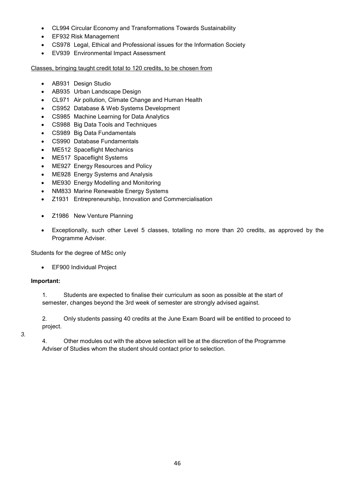- CL994 Circular Economy and Transformations Towards Sustainability
- EF932 Risk Management
- CS978 Legal, Ethical and Professional issues for the Information Society
- EV939 Environmental Impact Assessment

Classes, bringing taught credit total to 120 credits, to be chosen from

- AB931 Design Studio
- AB935 Urban Landscape Design
- CL971 Air pollution, Climate Change and Human Health
- CS952 Database & Web Systems Development
- CS985 Machine Learning for Data Analytics
- CS988 Big Data Tools and Techniques
- CS989 Big Data Fundamentals
- CS990 Database Fundamentals
- ME512 Spaceflight Mechanics
- ME517 Spaceflight Systems
- ME927 Energy Resources and Policy
- ME928 Energy Systems and Analysis
- ME930 Energy Modelling and Monitoring
- NM833 Marine Renewable Energy Systems
- Z1931 Entrepreneurship, Innovation and Commercialisation
- Z1986 New Venture Planning
- Exceptionally, such other Level 5 classes, totalling no more than 20 credits, as approved by the Programme Adviser.

Students for the degree of MSc only

• EF900 Individual Project

## **Important:**

1. Students are expected to finalise their curriculum as soon as possible at the start of semester, changes beyond the 3rd week of semester are strongly advised against.

2. Only students passing 40 credits at the June Exam Board will be entitled to proceed to project.

*3.*

4. Other modules out with the above selection will be at the discretion of the Programme Adviser of Studies whom the student should contact prior to selection.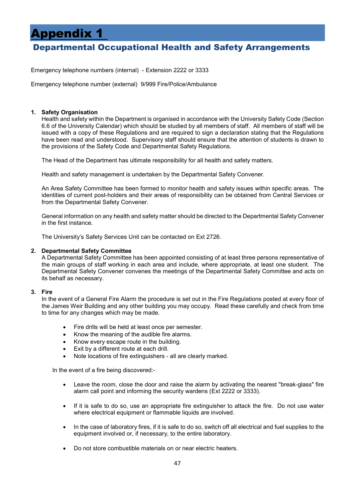# <span id="page-47-0"></span>Appendix 1

# <span id="page-47-1"></span>Departmental Occupational Health and Safety Arrangements

Emergency telephone numbers (internal) - Extension 2222 or 3333

Emergency telephone number (external) 9/999 Fire/Police/Ambulance

## **1. Safety Organisation**

Health and safety within the Department is organised in accordance with the University Safety Code (Section 6.6 of the University Calendar) which should be studied by all members of staff. All members of staff will be issued with a copy of these Regulations and are required to sign a declaration stating that the Regulations have been read and understood. Supervisory staff should ensure that the attention of students is drawn to the provisions of the Safety Code and Departmental Safety Regulations.

The Head of the Department has ultimate responsibility for all health and safety matters.

Health and safety management is undertaken by the Departmental Safety Convener.

An Area Safety Committee has been formed to monitor health and safety issues within specific areas. The identities of current post-holders and their areas of responsibility can be obtained from Central Services or from the Departmental Safety Convener.

General information on any health and safety matter should be directed to the Departmental Safety Convener in the first instance.

The University's Safety Services Unit can be contacted on Ext 2726.

## **2. Departmental Safety Committee**

A Departmental Safety Committee has been appointed consisting of at least three persons representative of the main groups of staff working in each area and include, where appropriate, at least one student. The Departmental Safety Convener convenes the meetings of the Departmental Safety Committee and acts on its behalf as necessary.

## **3. Fire**

In the event of a General Fire Alarm the procedure is set out in the Fire Regulations posted at every floor of the James Weir Building and any other building you may occupy. Read these carefully and check from time to time for any changes which may be made.

- Fire drills will be held at least once per semester.
- Know the meaning of the audible fire alarms.
- Know every escape route in the building.
- Exit by a different route at each drill.
- Note locations of fire extinguishers all are clearly marked.

In the event of a fire being discovered:-

- Leave the room, close the door and raise the alarm by activating the nearest "break-glass" fire alarm call point and informing the security wardens (Ext 2222 or 3333).
- If it is safe to do so, use an appropriate fire extinguisher to attack the fire. Do not use water where electrical equipment or flammable liquids are involved.
- In the case of laboratory fires, if it is safe to do so, switch off all electrical and fuel supplies to the equipment involved or, if necessary, to the entire laboratory.
- Do not store combustible materials on or near electric heaters.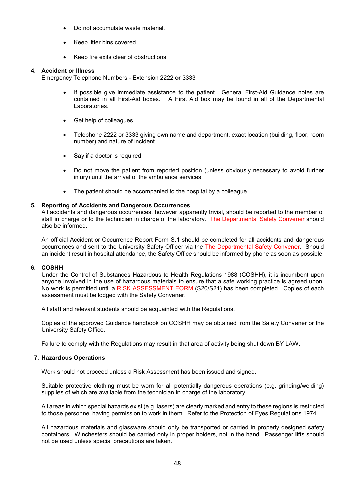- Do not accumulate waste material.
- Keep litter bins covered.
- Keep fire exits clear of obstructions

### **4. Accident or Illness**

Emergency Telephone Numbers - Extension 2222 or 3333

- If possible give immediate assistance to the patient. General First-Aid Guidance notes are contained in all First-Aid boxes. A First Aid box may be found in all of the Departmental Laboratories.
- Get help of colleagues.
- Telephone 2222 or 3333 giving own name and department, exact location (building, floor, room number) and nature of incident.
- Say if a doctor is required.
- Do not move the patient from reported position (unless obviously necessary to avoid further injury) until the arrival of the ambulance services.
- The patient should be accompanied to the hospital by a colleague.

### **5. Reporting of Accidents and Dangerous Occurrences**

All accidents and dangerous occurrences, however apparently trivial, should be reported to the member of staff in charge or to the technician in charge of the laboratory. The Departmental Safety Convener should also be informed.

An official Accident or Occurrence Report Form S.1 should be completed for all accidents and dangerous occurrences and sent to the University Safety Officer via the The Departmental Safety Convener. Should an incident result in hospital attendance, the Safety Office should be informed by phone as soon as possible.

### **6. COSHH**

Under the Control of Substances Hazardous to Health Regulations 1988 (COSHH), it is incumbent upon anyone involved in the use of hazardous materials to ensure that a safe working practice is agreed upon. No work is permitted until a RISK ASSESSMENT FORM (S20/S21) has been completed. Copies of each assessment must be lodged with the Safety Convener.

All staff and relevant students should be acquainted with the Regulations.

Copies of the approved Guidance handbook on COSHH may be obtained from the Safety Convener or the University Safety Office.

Failure to comply with the Regulations may result in that area of activity being shut down BY LAW.

### **7. Hazardous Operations**

Work should not proceed unless a Risk Assessment has been issued and signed.

Suitable protective clothing must be worn for all potentially dangerous operations (e.g. grinding/welding) supplies of which are available from the technician in charge of the laboratory.

All areas in which special hazards exist (e.g. lasers) are clearly marked and entry to these regions is restricted to those personnel having permission to work in them. Refer to the Protection of Eyes Regulations 1974.

All hazardous materials and glassware should only be transported or carried in properly designed safety containers. Winchesters should be carried only in proper holders, not in the hand. Passenger lifts should not be used unless special precautions are taken.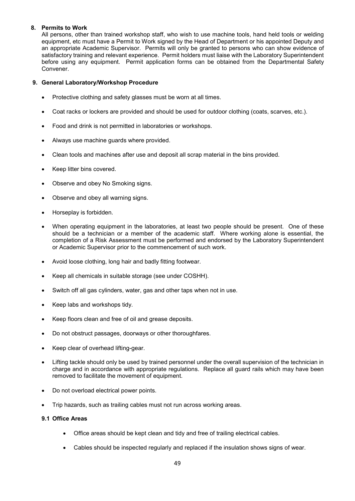## **8. Permits to Work**

All persons, other than trained workshop staff, who wish to use machine tools, hand held tools or welding equipment, etc must have a Permit to Work signed by the Head of Department or his appointed Deputy and an appropriate Academic Supervisor. Permits will only be granted to persons who can show evidence of satisfactory training and relevant experience. Permit holders must liaise with the Laboratory Superintendent before using any equipment. Permit application forms can be obtained from the Departmental Safety Convener.

## **9. General Laboratory/Workshop Procedure**

- Protective clothing and safety glasses must be worn at all times.
- Coat racks or lockers are provided and should be used for outdoor clothing (coats, scarves, etc.).
- Food and drink is not permitted in laboratories or workshops.
- Always use machine guards where provided.
- Clean tools and machines after use and deposit all scrap material in the bins provided.
- Keep litter bins covered.
- Observe and obey No Smoking signs.
- Observe and obey all warning signs.
- Horseplay is forbidden.
- When operating equipment in the laboratories, at least two people should be present. One of these should be a technician or a member of the academic staff. Where working alone is essential, the completion of a Risk Assessment must be performed and endorsed by the Laboratory Superintendent or Academic Supervisor prior to the commencement of such work.
- Avoid loose clothing, long hair and badly fitting footwear.
- Keep all chemicals in suitable storage (see under COSHH).
- Switch off all gas cylinders, water, gas and other taps when not in use.
- Keep labs and workshops tidy.
- Keep floors clean and free of oil and grease deposits.
- Do not obstruct passages, doorways or other thoroughfares.
- Keep clear of overhead lifting-gear.
- Lifting tackle should only be used by trained personnel under the overall supervision of the technician in charge and in accordance with appropriate regulations. Replace all guard rails which may have been removed to facilitate the movement of equipment.
- Do not overload electrical power points.
- Trip hazards, such as trailing cables must not run across working areas.

## **9.1 Office Areas**

- Office areas should be kept clean and tidy and free of trailing electrical cables.
- Cables should be inspected regularly and replaced if the insulation shows signs of wear.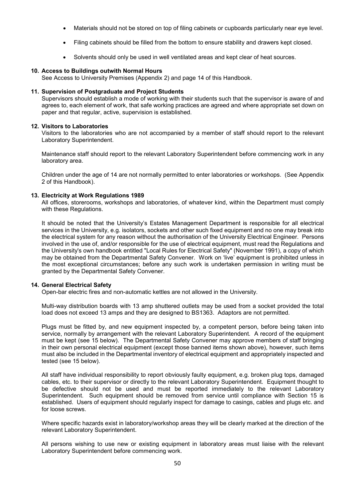- Materials should not be stored on top of filing cabinets or cupboards particularly near eye level.
- Filing cabinets should be filled from the bottom to ensure stability and drawers kept closed.
- Solvents should only be used in well ventilated areas and kept clear of heat sources.

### **10. Access to Buildings outwith Normal Hours**

See Access to University Premises (Appendix 2) and page 14 of this Handbook.

### **11. Supervision of Postgraduate and Project Students**

Supervisors should establish a mode of working with their students such that the supervisor is aware of and agrees to, each element of work, that safe working practices are agreed and where appropriate set down on paper and that regular, active, supervision is established.

### **12. Visitors to Laboratories**

Visitors to the laboratories who are not accompanied by a member of staff should report to the relevant Laboratory Superintendent.

Maintenance staff should report to the relevant Laboratory Superintendent before commencing work in any laboratory area.

Children under the age of 14 are not normally permitted to enter laboratories or workshops. (See Appendix 2 of this Handbook).

### **13. Electricity at Work Regulations 1989**

All offices, storerooms, workshops and laboratories, of whatever kind, within the Department must comply with these Regulations.

It should be noted that the University's Estates Management Department is responsible for all electrical services in the University, e.g. isolators, sockets and other such fixed equipment and no one may break into the electrical system for any reason without the authorisation of the University Electrical Engineer. Persons involved in the use of, and/or responsible for the use of electrical equipment, must read the Regulations and the University's own handbook entitled "Local Rules for Electrical Safety" (November 1991), a copy of which may be obtained from the Departmental Safety Convener. Work on 'live' equipment is prohibited unless in the most exceptional circumstances; before any such work is undertaken permission in writing must be granted by the Departmental Safety Convener.

### **14. General Electrical Safety**

Open-bar electric fires and non-automatic kettles are not allowed in the University.

Multi-way distribution boards with 13 amp shuttered outlets may be used from a socket provided the total load does not exceed 13 amps and they are designed to BS1363. Adaptors are not permitted.

Plugs must be fitted by, and new equipment inspected by, a competent person, before being taken into service, normally by arrangement with the relevant Laboratory Superintendent. A record of the equipment must be kept (see 15 below). The Departmental Safety Convener may approve members of staff bringing in their own personal electrical equipment (except those banned items shown above), however, such items must also be included in the Departmental inventory of electrical equipment and appropriately inspected and tested (see 15 below).

All staff have individual responsibility to report obviously faulty equipment, e.g. broken plug tops, damaged cables, etc. to their supervisor or directly to the relevant Laboratory Superintendent. Equipment thought to be defective should not be used and must be reported immediately to the relevant Laboratory Superintendent. Such equipment should be removed from service until compliance with Section 15 is established. Users of equipment should regularly inspect for damage to casings, cables and plugs etc. and for loose screws.

Where specific hazards exist in laboratory/workshop areas they will be clearly marked at the direction of the relevant Laboratory Superintendent.

All persons wishing to use new or existing equipment in laboratory areas must liaise with the relevant Laboratory Superintendent before commencing work.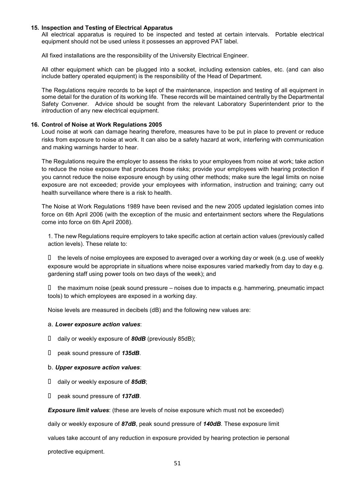### **15. Inspection and Testing of Electrical Apparatus**

All electrical apparatus is required to be inspected and tested at certain intervals. Portable electrical equipment should not be used unless it possesses an approved PAT label.

All fixed installations are the responsibility of the University Electrical Engineer.

All other equipment which can be plugged into a socket, including extension cables, etc. (and can also include battery operated equipment) is the responsibility of the Head of Department.

The Regulations require records to be kept of the maintenance, inspection and testing of all equipment in some detail for the duration of its working life. These records will be maintained centrally by the Departmental Safety Convener. Advice should be sought from the relevant Laboratory Superintendent prior to the introduction of any new electrical equipment.

### **16. Control of Noise at Work Regulations 2005**

Loud noise at work can damage hearing therefore, measures have to be put in place to prevent or reduce risks from exposure to noise at work. It can also be a safety hazard at work, interfering with communication and making warnings harder to hear.

The Regulations require the employer to assess the risks to your employees from noise at work; take action to reduce the noise exposure that produces those risks; provide your employees with hearing protection if you cannot reduce the noise exposure enough by using other methods; make sure the legal limits on noise exposure are not exceeded; provide your employees with information, instruction and training; carry out health surveillance where there is a risk to health.

The Noise at Work Regulations 1989 have been revised and the new 2005 updated legislation comes into force on 6th April 2006 (with the exception of the music and entertainment sectors where the Regulations come into force on 6th April 2008).

1. The new Regulations require employers to take specific action at certain action values (previously called action levels). These relate to:

 $\Box$  the levels of noise employees are exposed to averaged over a working day or week (e.g. use of weekly exposure would be appropriate in situations where noise exposures varied markedly from day to day e.g. gardening staff using power tools on two days of the week); and

 $\Box$  the maximum noise (peak sound pressure – noises due to impacts e.g. hammering, pneumatic impact tools) to which employees are exposed in a working day.

Noise levels are measured in decibels (dB) and the following new values are:

### a. *Lower exposure action values*:

- � daily or weekly exposure of *80dB* (previously 85dB);
- � peak sound pressure of *135dB*.

#### b. *Upper exposure action values*:

- � daily or weekly exposure of *85dB*;
- � peak sound pressure of *137dB*.

**Exposure limit values**: (these are levels of noise exposure which must not be exceeded)

daily or weekly exposure of *87dB*, peak sound pressure of *140dB*. These exposure limit

values take account of any reduction in exposure provided by hearing protection ie personal

protective equipment.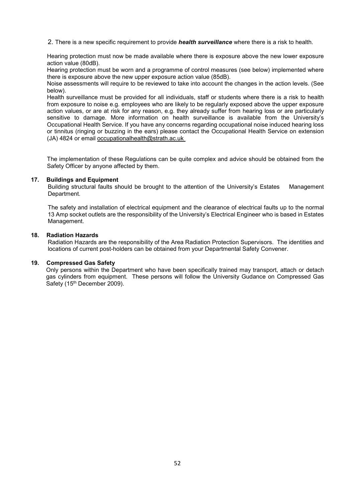2. There is a new specific requirement to provide *health surveillance* where there is a risk to health.

Hearing protection must now be made available where there is exposure above the new lower exposure action value (80dB).

Hearing protection must be worn and a programme of control measures (see below) implemented where there is exposure above the new upper exposure action value (85dB).

Noise assessments will require to be reviewed to take into account the changes in the action levels. (See below).

Health surveillance must be provided for all individuals, staff or students where there is a risk to health from exposure to noise e.g. employees who are likely to be regularly exposed above the upper exposure action values, or are at risk for any reason, e.g. they already suffer from hearing loss or are particularly sensitive to damage. More information on health surveillance is available from the University's Occupational Health Service. If you have any concerns regarding occupational noise induced hearing loss or tinnitus (ringing or buzzing in the ears) please contact the Occupational Health Service on extension (JA) 4824 or email occupationalhealth@strath.ac.uk

The implementation of these Regulations can be quite complex and advice should be obtained from the Safety Officer by anyone affected by them.

### **17. Buildings and Equipment**

Building structural faults should be brought to the attention of the University's Estates Management Department.

The safety and installation of electrical equipment and the clearance of electrical faults up to the normal 13 Amp socket outlets are the responsibility of the University's Electrical Engineer who is based in Estates Management.

### **18. Radiation Hazards**

Radiation Hazards are the responsibility of the Area Radiation Protection Supervisors. The identities and locations of current post-holders can be obtained from your Departmental Safety Convener.

### **19. Compressed Gas Safety**

Only persons within the Department who have been specifically trained may transport, attach or detach gas cylinders from equipment. These persons will follow the University Gudance on Compressed Gas Safety (15<sup>th</sup> December 2009).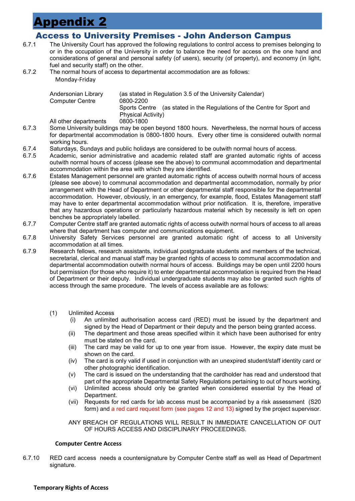# <span id="page-53-0"></span>Appendix 2

# <span id="page-53-1"></span>Access to University Premises - John Anderson Campus

- 6.7.1 The University Court has approved the following regulations to control access to premises belonging to or in the occupation of the University in order to balance the need for access on the one hand and considerations of general and personal safety (of users), security (of property), and economy (in light, fuel and security staff) on the other.
- 6.7.2 The normal hours of access to departmental accommodation are as follows: Monday-Friday

| Andersonian Library<br><b>Computer Centre</b> | (as stated in Regulation 3.5 of the University Calendar)<br>0800-2200      |
|-----------------------------------------------|----------------------------------------------------------------------------|
|                                               | (as stated in the Regulations of the Centre for Sport and<br>Sports Centre |
|                                               | Physical Activity)                                                         |
| All other departments                         | 0800-1800                                                                  |
|                                               |                                                                            |

- 6.7.3 Some University buildings may be open beyond 1800 hours. Nevertheless, the normal hours of access for departmental accommodation is 0800-1800 hours. Every other time is considered outwith normal working hours.
- 6.7.4 Saturdays, Sundays and public holidays are considered to be outwith normal hours of access.
- Academic, senior administrative and academic related staff are granted automatic rights of access outwith normal hours of access (please see the above) to communal accommodation and departmental accommodation within the area with which they are identified.
- 6.7.6 Estates Management personnel are granted automatic rights of access outwith normal hours of access (please see above) to communal accommodation and departmental accommodation, normally by prior arrangement with the Head of Department or other departmental staff responsible for the departmental accommodation. However, obviously, in an emergency, for example, flood, Estates Management staff may have to enter departmental accommodation without prior notification. It is, therefore, imperative that any hazardous operations or particularly hazardous material which by necessity is left on open benches be appropriately labelled.
- 6.7.7 Computer Centre staff are granted automatic rights of access outwith normal hours of access to all areas where that department has computer and communications equipment.
- 6.7.8 University Safety Services personnel are granted automatic right of access to all University accommodation at all times.
- 6.7.9 Research fellows, research assistants, individual postgraduate students and members of the technical, secretarial, clerical and manual staff may be granted rights of access to communal accommodation and departmental accommodation outwith normal hours of access. Buildings may be open until 2200 hours but permission (for those who require it) to enter departmental accommodation is required from the Head of Department or their deputy. Individual undergraduate students may also be granted such rights of access through the same procedure. The levels of access available are as follows:
	- (1) Unlimited Access
		- (i) An unlimited authorisation access card (RED) must be issued by the department and signed by the Head of Department or their deputy and the person being granted access.
		- (ii) The department and those areas specified within it which have been authorised for entry must be stated on the card.
		- (iii) The card may be valid for up to one year from issue. However, the expiry date must be shown on the card.
		- (iv) The card is only valid if used in conjunction with an unexpired student/staff identity card or other photographic identification.
		- (v) The card is issued on the understanding that the cardholder has read and understood that part of the appropriate Departmental Safety Regulations pertaining to out of hours working.
		- (vi) Unlimited access should only be granted when considered essential by the Head of Department.
		- (vii) Requests for red cards for lab access must be accompanied by a risk assessment (S20 form) and a red card request form (see pages 12 and 13) signed by the project supervisor.
		- ANY BREACH OF REGULATIONS WILL RESULT IN IMMEDIATE CANCELLATION OF OUT OF HOURS ACCESS AND DISCIPLINARY PROCEEDINGS.

## **Computer Centre Access**

6.7.10 RED card access needs a countersignature by Computer Centre staff as well as Head of Department signature.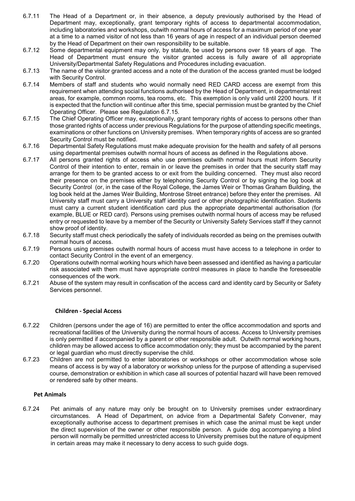- 6.7.11 The Head of a Department or, in their absence, a deputy previously authorised by the Head of Department may, exceptionally, grant temporary rights of access to departmental accommodation, including laboratories and workshops, outwith normal hours of access for a maximum period of one year at a time to a named visitor of not less than 16 years of age in respect of an individual person deemed by the Head of Department on their own responsibility to be suitable.
- 6.7.12 Some departmental equipment may only, by statute, be used by persons over 18 years of age. The Head of Department must ensure the visitor granted access is fully aware of all appropriate University/Departmental Safety Regulations and Procedures including evacuation.
- 6.7.13 The name of the visitor granted access and a note of the duration of the access granted must be lodged with Security Control.
- 6.7.14 Members of staff and students who would normally need RED CARD access are exempt from this requirement when attending social functions authorised by the Head of Department, in departmental rest areas, for example, common rooms, tea rooms, etc. This exemption is only valid until 2200 hours. If it is expected that the function will continue after this time, special permission must be granted by the Chief Operating Officer. Please see Regulation 6.7.15.
- 6.7.15 The Chief Operating Officer may, exceptionally, grant temporary rights of access to persons other than those granted rights of access under previous Regulations for the purpose of attending specific meetings, examinations or other functions on University premises. When temporary rights of access are so granted Security Control must be notified.
- 6.7.16 Departmental Safety Regulations must make adequate provision for the health and safety of all persons using departmental premises outwith normal hours of access as defined in the Regulations above.
- 6.7.17 All persons granted rights of access who use premises outwith normal hours must inform Security Control of their intention to enter, remain in or leave the premises in order that the security staff may arrange for them to be granted access to or exit from the building concerned. They must also record their presence on the premises either by telephoning Security Control or by signing the log book at Security Control (or, in the case of the Royal College, the James Weir or Thomas Graham Building, the log book held at the James Weir Building, Montrose Street entrance) before they enter the premises. All University staff must carry a University staff identity card or other photographic identification. Students must carry a current student identification card plus the appropriate departmental authorisation (for example, BLUE or RED card). Persons using premises outwith normal hours of access may be refused entry or requested to leave by a member of the Security or University Safety Services staff if they cannot show proof of identity.
- 6.7.18 Security staff must check periodically the safety of individuals recorded as being on the premises outwith normal hours of access.
- 6.7.19 Persons using premises outwith normal hours of access must have access to a telephone in order to contact Security Control in the event of an emergency.
- 6.7.20 Operations outwith normal working hours which have been assessed and identified as having a particular risk associated with them must have appropriate control measures in place to handle the foreseeable consequences of the work.
- 6.7.21 Abuse of the system may result in confiscation of the access card and identity card by Security or Safety Services personnel.

### **Children - Special Access**

- 6.7.22 Children (persons under the age of 16) are permitted to enter the office accommodation and sports and recreational facilities of the University during the normal hours of access. Access to University premises is only permitted if accompanied by a parent or other responsible adult. Outwith normal working hours, children may be allowed access to office accommodation only; they must be accompanied by the parent or legal guardian who must directly supervise the child.
- 6.7.23 Children are not permitted to enter laboratories or workshops or other accommodation whose sole means of access is by way of a laboratory or workshop unless for the purpose of attending a supervised course, demonstration or exhibition in which case all sources of potential hazard will have been removed or rendered safe by other means.

### **Pet Animals**

6.7.24 Pet animals of any nature may only be brought on to University premises under extraordinary circumstances. A Head of Department, on advice from a Departmental Safety Convener, may exceptionally authorise access to department premises in which case the animal must be kept under the direct supervision of the owner or other responsible person. A guide dog accompanying a blind person will normally be permitted unrestricted access to University premises but the nature of equipment in certain areas may make it necessary to deny access to such guide dogs.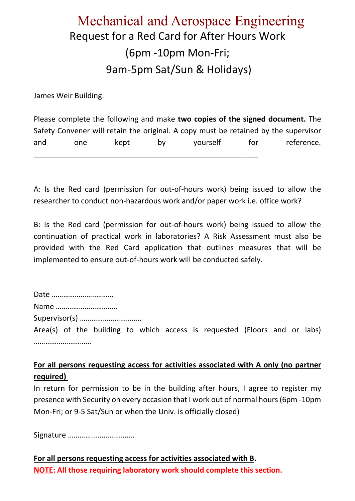# Mechanical and Aerospace Engineering Request for a Red Card for After Hours Work (6pm -10pm Mon-Fri; 9am-5pm Sat/Sun & Holidays)

James Weir Building.

Please complete the following and make **two copies of the signed document.** The Safety Convener will retain the original. A copy must be retained by the supervisor and one kept by yourself for reference. \_\_\_\_\_\_\_\_\_\_\_\_\_\_\_\_\_\_\_\_\_\_\_\_\_\_\_\_\_\_\_\_\_\_\_\_\_\_\_\_\_\_\_\_\_\_\_\_\_\_\_\_\_\_

A: Is the Red card (permission for out-of-hours work) being issued to allow the researcher to conduct non-hazardous work and/or paper work i.e. office work?

B: Is the Red card (permission for out-of-hours work) being issued to allow the continuation of practical work in laboratories? A Risk Assessment must also be provided with the Red Card application that outlines measures that will be implemented to ensure out-of-hours work will be conducted safely.

Date …………………..……… Name ………………………….. Supervisor(s) ………………………….. Area(s) of the building to which access is requested (Floors and or labs) ……………………………

**For all persons requesting access for activities associated with A only (no partner required)** 

In return for permission to be in the building after hours, I agree to register my presence with Security on every occasion that I work out of normal hours (6pm -10pm Mon-Fri; or 9-5 Sat/Sun or when the Univ. is officially closed)

Signature …………......…………….

**For all persons requesting access for activities associated with B. NOTE: All those requiring laboratory work should complete this section.**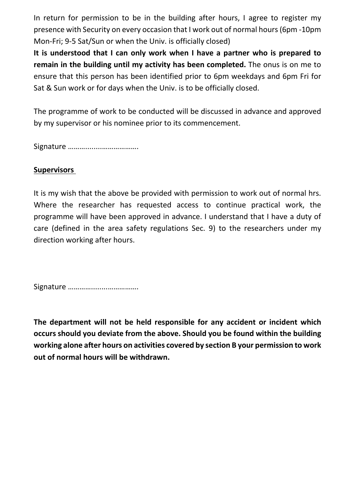In return for permission to be in the building after hours, I agree to register my presence with Security on every occasion that I work out of normal hours (6pm -10pm Mon-Fri; 9-5 Sat/Sun or when the Univ. is officially closed)

**It is understood that I can only work when I have a partner who is prepared to remain in the building until my activity has been completed.** The onus is on me to ensure that this person has been identified prior to 6pm weekdays and 6pm Fri for Sat & Sun work or for days when the Univ. is to be officially closed.

The programme of work to be conducted will be discussed in advance and approved by my supervisor or his nominee prior to its commencement.

Signature ………........……………….

# **Supervisors**

It is my wish that the above be provided with permission to work out of normal hrs. Where the researcher has requested access to continue practical work, the programme will have been approved in advance. I understand that I have a duty of care (defined in the area safety regulations Sec. 9) to the researchers under my direction working after hours.

Signature …………........…………….

**The department will not be held responsible for any accident or incident which occurs should you deviate from the above. Should you be found within the building working alone after hours on activities covered by section B your permission to work out of normal hours will be withdrawn.**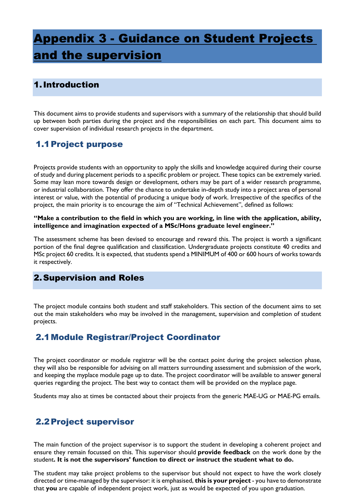# <span id="page-57-0"></span>Appendix 3 - Guidance on Student Projects and the supervision

# <span id="page-57-1"></span>1.Introduction

This document aims to provide students and supervisors with a summary of the relationship that should build up between both parties during the project and the responsibilities on each part. This document aims to cover supervision of individual research projects in the department.

# <span id="page-57-2"></span>1.1Project purpose

Projects provide students with an opportunity to apply the skills and knowledge acquired during their course of study and during placement periods to a specific problem or project. These topics can be extremely varied. Some may lean more towards design or development, others may be part of a wider research programme, or industrial collaboration. They offer the chance to undertake in-depth study into a project area of personal interest or value, with the potential of producing a unique body of work. Irrespective of the specifics of the project, the main priority is to encourage the aim of "Technical Achievement", defined as follows:

**"Make a contribution to the field in which you are working, in line with the application, ability, intelligence and imagination expected of a MSc/Hons graduate level engineer."**

The assessment scheme has been devised to encourage and reward this. The project is worth a significant portion of the final degree qualification and classification. Undergraduate projects constitute 40 credits and MSc project 60 credits. It is expected, that students spend a MINIMUM of 400 or 600 hours of works towards it respectively.

# <span id="page-57-3"></span>2.Supervision and Roles

The project module contains both student and staff stakeholders. This section of the document aims to set out the main stakeholders who may be involved in the management, supervision and completion of student projects.

# <span id="page-57-4"></span>2.1Module Registrar/Project Coordinator

The project coordinator or module registrar will be the contact point during the project selection phase, they will also be responsible for advising on all matters surrounding assessment and submission of the work, and keeping the myplace module page up to date. The project coordinator will be available to answer general queries regarding the project. The best way to contact them will be provided on the myplace page.

Students may also at times be contacted about their projects from the generic MAE-UG or MAE-PG emails.

# <span id="page-57-5"></span>2.2Project supervisor

The main function of the project supervisor is to support the student in developing a coherent project and ensure they remain focussed on this. This supervisor should **provide feedback** on the work done by the student**. It is not the supervisors' function to direct or instruct the student what to do.** 

The student may take project problems to the supervisor but should not expect to have the work closely directed or time-managed by the supervisor: it is emphasised, **this is your project** - you have to demonstrate that **you** are capable of independent project work, just as would be expected of you upon graduation.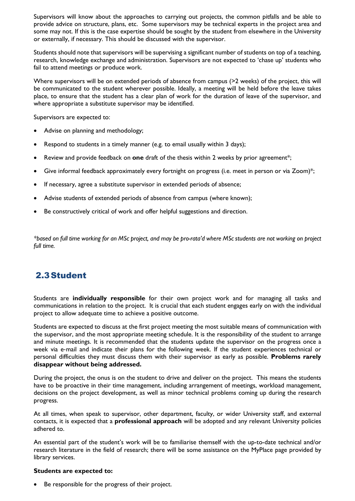Supervisors will know about the approaches to carrying out projects, the common pitfalls and be able to provide advice on structure, plans, etc. Some supervisors may be technical experts in the project area and some may not. If this is the case expertise should be sought by the student from elsewhere in the University or externally, if necessary. This should be discussed with the supervisor.

Students should note that supervisors will be supervising a significant number of students on top of a teaching, research, knowledge exchange and administration. Supervisors are not expected to 'chase up' students who fail to attend meetings or produce work.

Where supervisors will be on extended periods of absence from campus (>2 weeks) of the project, this will be communicated to the student wherever possible. Ideally, a meeting will be held before the leave takes place, to ensure that the student has a clear plan of work for the duration of leave of the supervisor, and where appropriate a substitute supervisor may be identified.

Supervisors are expected to:

- Advise on planning and methodology;
- Respond to students in a timely manner (e.g. to email usually within 3 days);
- Review and provide feedback on **one** draft of the thesis within 2 weeks by prior agreement\*;
- Give informal feedback approximately every fortnight on progress (i.e. meet in person or via Zoom)\*;
- If necessary, agree a substitute supervisor in extended periods of absence;
- Advise students of extended periods of absence from campus (where known);
- Be constructively critical of work and offer helpful suggestions and direction.

*\*based on full time working for an MSc project, and may be pro-rata'd where MSc students are not working on project full time.*

# <span id="page-58-0"></span>2.3Student

Students are **individually responsible** for their own project work and for managing all tasks and communications in relation to the project. It is crucial that each student engages early on with the individual project to allow adequate time to achieve a positive outcome.

Students are expected to discuss at the first project meeting the most suitable means of communication with the supervisor, and the most appropriate meeting schedule. It is the responsibility of the student to arrange and minute meetings. It is recommended that the students update the supervisor on the progress once a week via e-mail and indicate their plans for the following week. If the student experiences technical or personal difficulties they must discuss them with their supervisor as early as possible. **Problems rarely disappear without being addressed.**

During the project, the onus is on the student to drive and deliver on the project. This means the students have to be proactive in their time management, including arrangement of meetings, workload management, decisions on the project development, as well as minor technical problems coming up during the research progress.

At all times, when speak to supervisor, other department, faculty, or wider University staff, and external contacts, it is expected that a **professional approach** will be adopted and any relevant University policies adhered to.

An essential part of the student's work will be to familiarise themself with the up-to-date technical and/or research literature in the field of research; there will be some assistance on the MyPlace page provided by library services.

## **Students are expected to:**

Be responsible for the progress of their project.